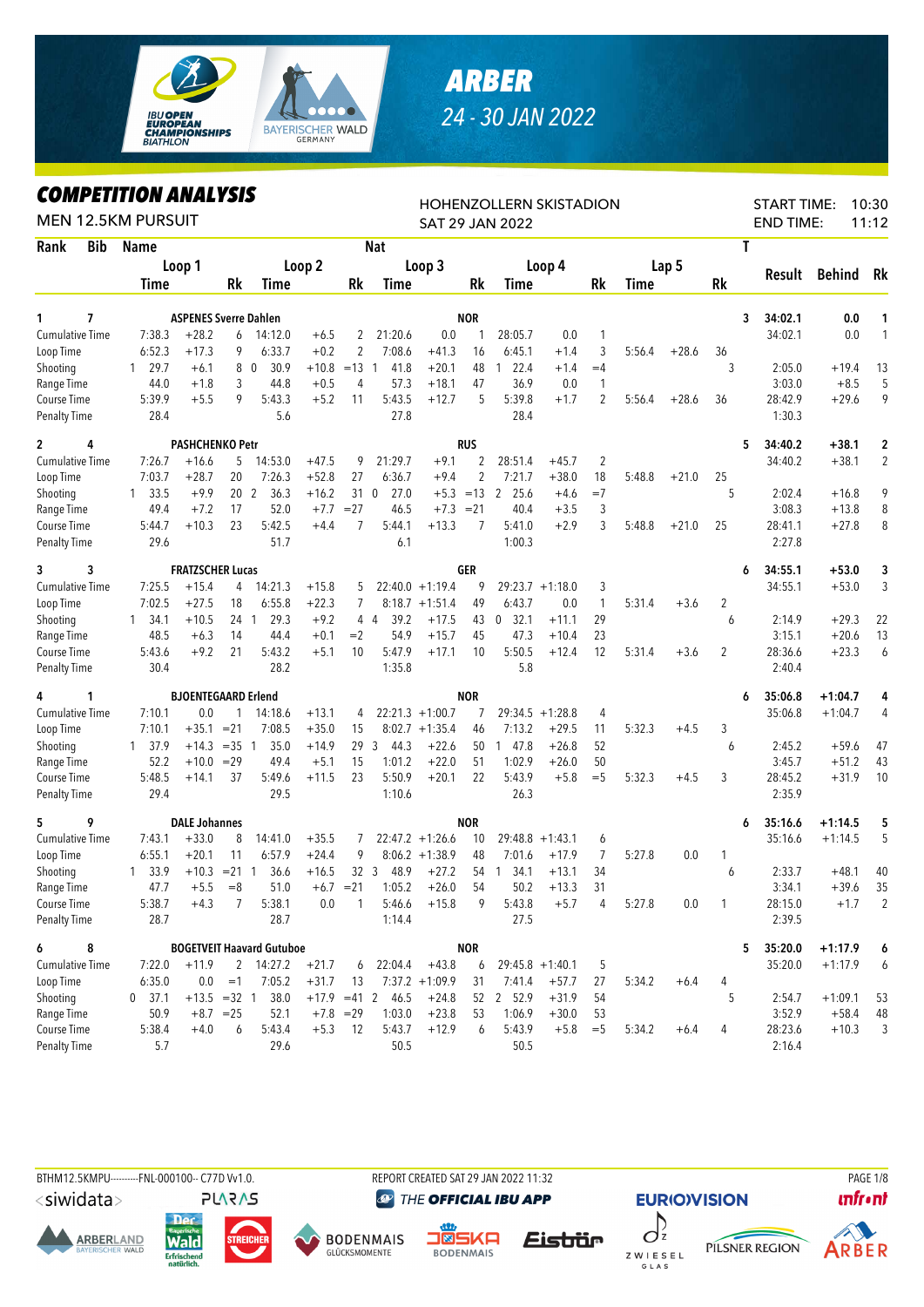

## *ARBER 24 - 30 JAN 2022*

## *COMPETITION ANALYSIS*

|                        |            | LUMPEIIIIUN ANALYƏIƏ<br><b>MEN 12.5KM PURSUIT</b> |                              |                 |                                  |               |                 |             |                   |                | HOHENZOLLERN SKISTADION<br><b>SAT 29 JAN 2022</b> |                    |                |             |                  |    | <b>START TIME:</b><br><b>END TIME:</b> |           | 10:30<br>11:12          |
|------------------------|------------|---------------------------------------------------|------------------------------|-----------------|----------------------------------|---------------|-----------------|-------------|-------------------|----------------|---------------------------------------------------|--------------------|----------------|-------------|------------------|----|----------------------------------------|-----------|-------------------------|
| Rank                   | <b>Bib</b> | Name                                              |                              |                 |                                  |               |                 | <b>Nat</b>  |                   |                |                                                   |                    |                |             |                  | Τ  |                                        |           |                         |
|                        |            |                                                   | Loop 1                       |                 |                                  | Loop 2        |                 |             | Loop 3            |                |                                                   | Loop 4             |                |             | Lap <sub>5</sub> |    |                                        |           |                         |
|                        |            | Time                                              |                              | <b>Rk</b>       | Time                             |               | Rk              | Time        |                   | Rk             | Time                                              |                    | Rk             | <b>Time</b> |                  | Rk | Result                                 | Behind    | Rk                      |
| 1                      | 7          |                                                   | <b>ASPENES Sverre Dahlen</b> |                 |                                  |               |                 |             |                   | <b>NOR</b>     |                                                   |                    |                |             |                  | 3  | 34:02.1                                | 0.0       | 1                       |
| <b>Cumulative Time</b> |            | 7:38.3                                            | $+28.2$                      | 6               | 14:12.0                          | $+6.5$        | 2               | 21:20.6     | 0.0               | 1              | 28:05.7                                           | 0.0                | 1              |             |                  |    | 34:02.1                                | 0.0       | $\mathbf{1}$            |
| Loop Time              |            | 6:52.3                                            | $+17.3$                      | 9               | 6:33.7                           | $+0.2$        | 2               | 7:08.6      | $+41.3$           | 16             | 6:45.1                                            | $+1.4$             | 3              | 5:56.4      | $+28.6$          | 36 |                                        |           |                         |
| Shooting               |            | 29.7<br>$\mathbf{1}$                              | $+6.1$                       |                 | 80<br>30.9                       | $+10.8$       | $=13$ 1         | 41.8        | $+20.1$           | 48             | 22.4<br>$\mathbf{1}$                              | $+1.4$             | $=4$           |             |                  | 3  | 2:05.0                                 | $+19.4$   | 13                      |
| Range Time             |            | 44.0                                              | $+1.8$                       | 3               | 44.8                             | $+0.5$        | 4               | 57.3        | $+18.1$           | 47             | 36.9                                              | 0.0                | 1              |             |                  |    | 3:03.0                                 | $+8.5$    | 5                       |
| Course Time            |            | 5:39.9                                            | $+5.5$                       | 9               | 5:43.3                           | $+5.2$        | 11              | 5:43.5      | $+12.7$           | 5              | 5:39.8                                            | $+1.7$             | $\overline{2}$ | 5:56.4      | $+28.6$          | 36 | 28:42.9                                | $+29.6$   | 9                       |
| <b>Penalty Time</b>    |            | 28.4                                              |                              |                 | 5.6                              |               |                 | 27.8        |                   |                | 28.4                                              |                    |                |             |                  |    | 1:30.3                                 |           |                         |
| $\mathbf{2}$           | 4          |                                                   | <b>PASHCHENKO Petr</b>       |                 |                                  |               |                 |             |                   | <b>RUS</b>     |                                                   |                    |                |             |                  | 5  | 34:40.2                                | $+38.1$   | $\overline{\mathbf{c}}$ |
| <b>Cumulative Time</b> |            | 7:26.7                                            | $+16.6$                      | 5               | 14:53.0                          | $+47.5$       | 9               | 21:29.7     | $+9.1$            | $\overline{2}$ | 28:51.4                                           | $+45.7$            | $\overline{2}$ |             |                  |    | 34:40.2                                | $+38.1$   | $\overline{2}$          |
| Loop Time              |            | 7:03.7                                            | $+28.7$                      | 20              | 7:26.3                           | $+52.8$       | 27              | 6:36.7      | $+9.4$            | $\overline{2}$ | 7:21.7                                            | $+38.0$            | 18             | 5:48.8      | $+21.0$          | 25 |                                        |           |                         |
| Shooting               |            | 33.5<br>1                                         | $+9.9$                       | 20 <sub>2</sub> | 36.3                             | $+16.2$       |                 | 310<br>27.0 | $+5.3$            | $=13$          | 25.6<br>2                                         | $+4.6$             | $=7$           |             |                  | 5  | 2:02.4                                 | $+16.8$   | 9                       |
| Range Time             |            | 49.4                                              | $+7.2$                       | 17              | 52.0                             | $+7.7$        | $= 27$          | 46.5        | $+7.3 = 21$       |                | 40.4                                              | $+3.5$             | 3              |             |                  |    | 3:08.3                                 | $+13.8$   | 8                       |
| Course Time            |            | 5:44.7                                            | $+10.3$                      | 23              | 5:42.5                           | $+4.4$        | 7               | 5:44.1      | $+13.3$           | 7              | 5:41.0                                            | $+2.9$             | 3              | 5:48.8      | $+21.0$          | 25 | 28:41.1                                | $+27.8$   | 8                       |
| <b>Penalty Time</b>    |            | 29.6                                              |                              |                 | 51.7                             |               |                 | 6.1         |                   |                | 1:00.3                                            |                    |                |             |                  |    | 2:27.8                                 |           |                         |
| 3                      | 3          |                                                   | <b>FRATZSCHER Lucas</b>      |                 |                                  |               |                 |             |                   | <b>GER</b>     |                                                   |                    |                |             |                  | 6  | 34:55.1                                | $+53.0$   | 3                       |
| <b>Cumulative Time</b> |            | 7:25.5                                            | $+15.4$                      | 4               | 14:21.3                          | $+15.8$       | 5               |             | $22:40.0 +1:19.4$ | 9              |                                                   | $29:23.7 +1:18.0$  | 3              |             |                  |    | 34:55.1                                | $+53.0$   | 3                       |
| Loop Time              |            | 7:02.5                                            | $+27.5$                      | 18              | 6:55.8                           | $+22.3$       | 7               |             | $8:18.7 + 1:51.4$ | 49             | 6:43.7                                            | 0.0                | 1              | 5:31.4      | $+3.6$           | 2  |                                        |           |                         |
| Shooting               |            | 34.1<br>1                                         | $+10.5$                      | 24 1            | 29.3                             | $+9.2$        |                 | 44<br>39.2  | $+17.5$           | 43             | $\mathbf 0$<br>32.1                               | $+11.1$            | 29             |             |                  | 6  | 2:14.9                                 | $+29.3$   | 22                      |
| Range Time             |            | 48.5                                              | $+6.3$                       | 14              | 44.4                             | $+0.1$        | $=2$            | 54.9        | $+15.7$           | 45             | 47.3                                              | $+10.4$            | 23             |             |                  |    | 3:15.1                                 | $+20.6$   | 13                      |
| Course Time            |            | 5:43.6                                            | $+9.2$                       | 21              | 5:43.2                           | $+5.1$        | 10              | 5:47.9      | $+17.1$           | 10             | 5:50.5                                            | $+12.4$            | 12             | 5:31.4      | $+3.6$           | 2  | 28:36.6                                | $+23.3$   | 6                       |
| <b>Penalty Time</b>    |            | 30.4                                              |                              |                 | 28.2                             |               |                 | 1:35.8      |                   |                | 5.8                                               |                    |                |             |                  |    | 2:40.4                                 |           |                         |
| 4                      | 1          |                                                   | <b>BJOENTEGAARD Erlend</b>   |                 |                                  |               |                 |             |                   | <b>NOR</b>     |                                                   |                    |                |             |                  | 6  | 35:06.8                                | $+1:04.7$ | 4                       |
| <b>Cumulative Time</b> |            | 7:10.1                                            | 0.0                          | 1               | 14:18.6                          | $+13.1$       | 4               |             | $22:21.3 +1:00.7$ | 7              |                                                   | $29:34.5 +1:28.8$  | 4              |             |                  |    | 35:06.8                                | $+1:04.7$ | 4                       |
| Loop Time              |            | 7:10.1                                            | $+35.1$                      | $= 21$          | 7:08.5                           | $+35.0$       | 15              |             | $8:02.7 +1:35.4$  | 46             | 7:13.2                                            | $+29.5$            | 11             | 5:32.3      | $+4.5$           | 3  |                                        |           |                         |
| Shooting               |            | 1 37.9                                            | $+14.3$                      | $=35$ 1         | 35.0                             | $+14.9$       | 29              | 3<br>44.3   | $+22.6$           | 50             | 1 47.8                                            | $+26.8$            | 52             |             |                  | 6  | 2:45.2                                 | $+59.6$   | 47                      |
| Range Time             |            | 52.2                                              | $+10.0$                      | $=29$           | 49.4                             | $+5.1$        | 15              | 1:01.2      | $+22.0$           | 51             | 1:02.9                                            | $+26.0$            | 50             |             |                  |    | 3:45.7                                 | $+51.2$   | 43                      |
| Course Time            |            | 5:48.5                                            | $+14.1$                      | 37              | 5:49.6                           | $+11.5$       | 23              | 5:50.9      | $+20.1$           | 22             | 5:43.9                                            | $+5.8$             | $=$ 5          | 5:32.3      | $+4.5$           | 3  | 28:45.2                                | $+31.9$   | 10                      |
| <b>Penalty Time</b>    |            | 29.4                                              |                              |                 | 29.5                             |               |                 | 1:10.6      |                   |                | 26.3                                              |                    |                |             |                  |    | 2:35.9                                 |           |                         |
| 5                      | 9          |                                                   | <b>DALE Johannes</b>         |                 |                                  |               |                 |             |                   | <b>NOR</b>     |                                                   |                    |                |             |                  | 6  | 35:16.6                                | $+1:14.5$ | 5                       |
| <b>Cumulative Time</b> |            | 7:43.1                                            | $+33.0$                      | 8               | 14:41.0                          | $+35.5$       | 7               |             | $22:47.2 +1:26.6$ | 10             |                                                   | $29:48.8 + 1:43.1$ | 6              |             |                  |    | 35:16.6                                | $+1:14.5$ | 5                       |
| Loop Time              |            | 6:55.1                                            | $+20.1$                      | 11              | 6:57.9                           | $+24.4$       | 9               |             | $8:06.2 +1:38.9$  | 48             | 7:01.6                                            | $+17.9$            | 7              | 5:27.8      | 0.0              | 1  |                                        |           |                         |
| Shooting               |            | 33.9<br>$\mathbf{1}$                              | $+10.3 = 21 1$               |                 | 36.6                             | $+16.5$       | 32 <sup>3</sup> | 48.9        | $+27.2$           | 54             | 34.1<br>$\mathbf{1}$                              | $+13.1$            | 34             |             |                  | 6  | 2:33.7                                 | $+48.1$   | 40                      |
| Range Time             |            | 47.7                                              |                              | $+5.5 = 8$      | 51.0                             | $+6.7 = 21$   |                 | 1:05.2      | $+26.0$           | 54             | 50.2                                              | $+13.3$            | 31             |             |                  |    | 3:34.1                                 | $+39.6$   | 35                      |
| Course Time            |            | 5:38.7                                            | $+4.3$                       | 7               | 5:38.1                           | 0.0           | 1               | 5:46.6      | $+15.8$           | 9              | 5:43.8                                            | $+5.7$             | 4              | 5:27.8      | 0.0              | 1  | 28:15.0                                | $+1.7$    | 2                       |
| <b>Penalty Time</b>    |            | 28.7                                              |                              |                 | 28.7                             |               |                 | 1:14.4      |                   |                | 27.5                                              |                    |                |             |                  |    | 2:39.5                                 |           |                         |
| 6                      | 8          |                                                   |                              |                 | <b>BOGETVEIT Haavard Gutuboe</b> |               |                 |             |                   | <b>NOR</b>     |                                                   |                    |                |             |                  | 5  | 35:20.0                                | $+1:17.9$ | 6                       |
| Cumulative Time        |            | 7:22.0                                            | $+11.9$                      |                 | 2 14:27.2                        | $+21.7$       | 6               | 22:04.4     | $+43.8$           | 6              | $29:45.8 + 1:40.1$                                |                    | 5              |             |                  |    | 35:20.0                                | $+1:17.9$ | 6                       |
| Loop Time              |            | 6:35.0                                            | 0.0                          | $=1$            | 7:05.2                           | $+31.7$       | 13              |             | $7:37.2 +1:09.9$  | 31             | 7:41.4                                            | $+57.7$            | 27             | 5:34.2      | $+6.4$           | 4  |                                        |           |                         |
| Shooting               |            | $0$ 37.1                                          | $+13.5 = 32 1$               |                 | 38.0                             | $+17.9$ =41 2 |                 | 46.5        | $+24.8$           |                | 52 2 52.9                                         | $+31.9$            | 54             |             |                  | 5  | 2:54.7                                 | $+1:09.1$ | 53                      |
| Range Time             |            | 50.9                                              |                              | $+8.7 = 25$     | 52.1                             |               | $+7.8 = 29$     | 1:03.0      | $+23.8$           | 53             | 1:06.9                                            | $+30.0$            | 53             |             |                  |    | 3:52.9                                 | $+58.4$   | 48                      |
| Course Time            |            | 5:38.4                                            | $+4.0$                       | 6               | 5:43.4                           | $+5.3$        | 12              | 5:43.7      | $+12.9$           | 6              | 5:43.9                                            | $+5.8$             | $=$ 5          | 5:34.2      | $+6.4$           | 4  | 28:23.6                                | $+10.3$   | 3                       |
| <b>Penalty Time</b>    |            | 5.7                                               |                              |                 | 29.6                             |               |                 | 50.5        |                   |                | 50.5                                              |                    |                |             |                  |    | 2:16.4                                 |           |                         |

BTHM12.5KMPU----------FNL-000100-- C77D Vv1.0. REPORT CREATED SAT 29 JAN 2022 11:32 PAGE 1/8

<siwidata>

**ARBERLAND** 







THE OFFICIAL IBU APP









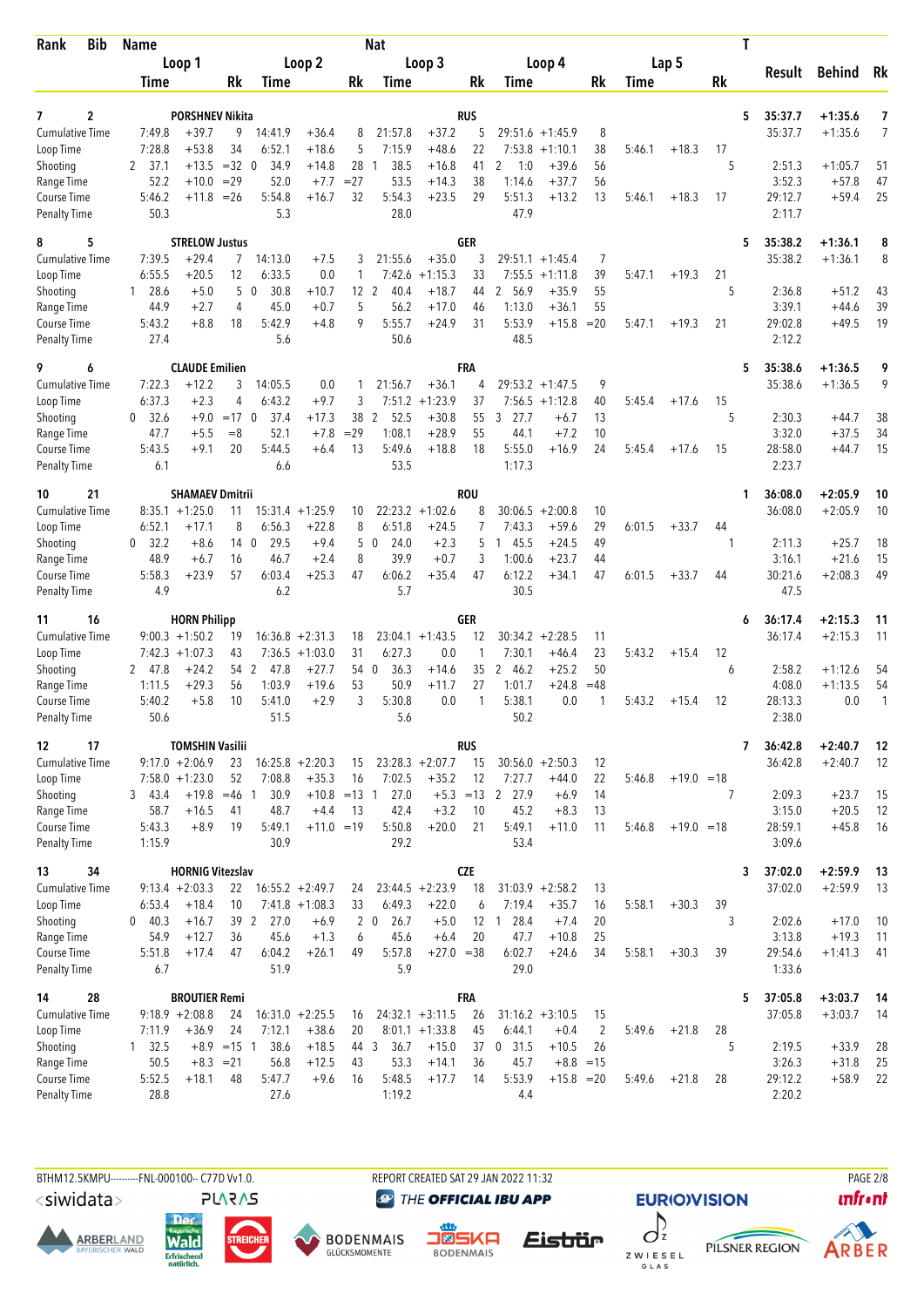| <b>Bib</b><br>Rank                 | <b>Name</b>            |                         |                              |                      |                         |                 | Nat                            |                    |                   |                                |                    |                      |        |              |                | T |                   |                        |          |
|------------------------------------|------------------------|-------------------------|------------------------------|----------------------|-------------------------|-----------------|--------------------------------|--------------------|-------------------|--------------------------------|--------------------|----------------------|--------|--------------|----------------|---|-------------------|------------------------|----------|
|                                    |                        | Loop 1                  |                              |                      | Loop 2                  |                 |                                | Loop 3             |                   |                                | Loop 4             |                      |        | Lap 5        |                |   | Result            | <b>Behind</b> Rk       |          |
|                                    | Time                   |                         | Rk                           | Time                 |                         | Rk              | Time                           |                    | Rk                | Time                           |                    | Rk                   | Time   |              | Rk             |   |                   |                        |          |
| 2<br>7                             |                        | <b>PORSHNEV Nikita</b>  |                              |                      |                         |                 |                                |                    | RUS               |                                |                    |                      |        |              |                | 5 | 35:37.7           | $+1:35.6$              | 7        |
| <b>Cumulative Time</b>             | 7:49.8                 | $+39.7$                 | 9                            | 14:41.9              | $+36.4$                 | 8               | 21:57.8                        | $+37.2$            | 5                 | 29:51.6                        | $+1:45.9$          | 8                    |        |              |                |   | 35:37.7           | $+1:35.6$              | 7        |
| Loop Time                          | 7:28.8                 | $+53.8$                 | 34                           | 6:52.1               | $+18.6$                 | 5               | 7:15.9                         | $+48.6$            | 22                | 7:53.8                         | $+1:10.1$          | 38                   | 5:46.1 | $+18.3$      | 17             |   |                   |                        |          |
| Shooting                           | 37.1<br>2              | $+13.5$                 | $=32$ 0                      | 34.9                 | $+14.8$                 | 28              | 38.5                           | $+16.8$            | 41                | 2<br>1:0                       | $+39.6$            | 56                   |        |              | 5              |   | 2:51.3            | $+1:05.7$              | 51       |
| Range Time                         | 52.2                   | $+10.0$                 | $=29$                        | 52.0                 | $+7.7$                  | $= 27$          | 53.5                           | $+14.3$            | 38                | 1:14.6                         | $+37.7$            | 56                   |        |              |                |   | 3:52.3            | $+57.8$                | 47       |
| Course Time<br><b>Penalty Time</b> | 5:46.2<br>50.3         | $+11.8$                 | $=26$                        | 5:54.8<br>5.3        | $+16.7$                 | 32              | 5:54.3<br>28.0                 | $+23.5$            | 29                | 5:51.3<br>47.9                 | $+13.2$            | 13                   | 5:46.1 | $+18.3$      | 17             |   | 29:12.7<br>2:11.7 | $+59.4$                | 25       |
| 5<br>8                             |                        | <b>STRELOW Justus</b>   |                              |                      |                         |                 |                                |                    | <b>GER</b>        |                                |                    |                      |        |              |                | 5 | 35:38.2           | $+1:36.1$              | 8        |
| <b>Cumulative Time</b>             | 7:39.5                 | $+29.4$                 | $\overline{7}$               | 14:13.0              | $+7.5$                  | 3               | 21:55.6                        | $+35.0$            | 3                 |                                | $29:51.1 + 1:45.4$ | 7                    |        |              |                |   | 35:38.2           | $+1:36.1$              | 8        |
| Loop Time                          | 6:55.5                 | $+20.5$                 | 12                           | 6:33.5               | 0.0                     | 1               | 7:42.6                         | $+1:15.3$          | 33                | 7:55.5                         | $+1:11.8$          | 39                   | 5:47.1 | $+19.3$      | 21             |   |                   |                        |          |
| Shooting                           | 128.6                  | $+5.0$                  | 5                            | 30.8<br>$\mathbf{0}$ | $+10.7$                 | 12 <sup>2</sup> | 40.4                           | $+18.7$            | 44                | 2 56.9                         | $+35.9$            | 55                   |        |              | 5              |   | 2:36.8            | $+51.2$                | 43       |
| Range Time                         | 44.9<br>5:43.2         | $+2.7$<br>$+8.8$        | 4<br>18                      | 45.0<br>5:42.9       | $+0.7$                  | 5<br>9          | 56.2<br>5:55.7                 | $+17.0$<br>$+24.9$ | 46<br>31          | 1:13.0<br>5:53.9               | $+36.1$<br>$+15.8$ | 55<br>$=20$          |        |              |                |   | 3:39.1<br>29:02.8 | $+44.6$<br>$+49.5$     | 39<br>19 |
| Course Time<br><b>Penalty Time</b> | 27.4                   |                         |                              | 5.6                  | $+4.8$                  |                 | 50.6                           |                    |                   | 48.5                           |                    |                      | 5:47.1 | $+19.3$      | 21             |   | 2:12.2            |                        |          |
| 9<br>6                             |                        | <b>CLAUDE Emilien</b>   |                              |                      |                         |                 |                                |                    | FRA               |                                |                    |                      |        |              |                | 5 | 35:38.6           | $+1:36.5$              | 9        |
| <b>Cumulative Time</b>             | 7:22.3                 | $+12.2$                 | 3                            | 14:05.5              | 0.0                     | 1               | 21:56.7                        | $+36.1$            | 4                 | 29:53.2                        | $+1:47.5$          | 9                    |        |              |                |   | 35:38.6           | $+1:36.5$              | 9        |
| Loop Time                          | 6:37.3                 | $+2.3$                  | 4                            | 6:43.2               | $+9.7$                  | 3               | 7:51.2                         | $+1:23.9$          | 37                | 7:56.5                         | $+1:12.8$          | 40                   | 5:45.4 | $+17.6$      | 15             |   |                   |                        |          |
| Shooting<br>Range Time             | 32.6<br>0<br>47.7      | $+9.0$<br>$+5.5$        | $=17$ 0<br>$=8$              | 37.4<br>52.1         | $+17.3$<br>$+7.8$       | 38<br>$=29$     | 2<br>52.5<br>1:08.1            | $+30.8$<br>$+28.9$ | 55<br>55          | 27.7<br>3<br>44.1              | $+6.7$<br>$+7.2$   | 13<br>10             |        |              | 5              |   | 2:30.3<br>3:32.0  | $+44.7$<br>$+37.5$     | 38<br>34 |
| <b>Course Time</b>                 | 5:43.5                 | $+9.1$                  | 20                           | 5:44.5               | $+6.4$                  | 13              | 5:49.6                         | $+18.8$            | 18                | 5:55.0                         | $+16.9$            | 24                   | 5:45.4 | $+17.6$      | 15             |   | 28:58.0           | $+44.7$                | 15       |
| <b>Penalty Time</b>                | 6.1                    |                         |                              | 6.6                  |                         |                 | 53.5                           |                    |                   | 1:17.3                         |                    |                      |        |              |                |   | 2:23.7            |                        |          |
| 21<br>10                           |                        | <b>SHAMAEV Dmitrii</b>  |                              |                      |                         |                 |                                |                    | <b>ROU</b>        |                                |                    |                      |        |              |                | 1 | 36:08.0           | $+2:05.9$              | 10       |
| <b>Cumulative Time</b>             |                        | $8:35.1 + 1:25.0$       | 11                           |                      | $15:31.4 +1:25.9$       | 10              |                                | $22:23.2 +1:02.6$  | 8                 |                                | $30:06.5 + 2:00.8$ | 10                   |        |              |                |   | 36:08.0           | $+2:05.9$              | 10       |
| Loop Time<br>Shooting              | 6:52.1<br>0 32.2       | $+17.1$<br>$+8.6$       | 8<br>14 <sub>0</sub>         | 6:56.3<br>29.5       | $+22.8$<br>$+9.4$       | 8<br>5          | 6:51.8<br>24.0<br>$\mathbf{0}$ | $+24.5$<br>$+2.3$  | 7<br>5            | 7:43.3<br>145.5                | $+59.6$<br>$+24.5$ | 29<br>49             | 6:01.5 | $+33.7$      | 44<br>-1       |   | 2:11.3            | $+25.7$                | 18       |
| Range Time                         | 48.9                   | $+6.7$                  | 16                           | 46.7                 | $+2.4$                  | 8               | 39.9                           | $+0.7$             | 3                 | 1:00.6                         | $+23.7$            | 44                   |        |              |                |   | 3:16.1            | $+21.6$                | 15       |
| <b>Course Time</b>                 | 5:58.3                 | $+23.9$                 | 57                           | 6:03.4               | $+25.3$                 | 47              | 6:06.2                         | $+35.4$            | 47                | 6:12.2                         | $+34.1$            | 47                   | 6:01.5 | $+33.7$      | 44             |   | 30:21.6           | $+2:08.3$              | 49       |
| <b>Penalty Time</b>                | 4.9                    |                         |                              | 6.2                  |                         |                 | 5.7                            |                    |                   | 30.5                           |                    |                      |        |              |                |   | 47.5              |                        |          |
| 16<br>11                           |                        | <b>HORN Philipp</b>     |                              |                      |                         |                 |                                |                    | GER               |                                |                    |                      |        |              |                | 6 | 36:17.4           | $+2:15.3$              | 11       |
| Cumulative Time                    |                        | $9:00.3 +1:50.2$        | 19                           |                      | $16:36.8 + 2:31.3$      | 18              |                                | $23:04.1 + 1:43.5$ | 12                |                                | $30:34.2 +2:28.5$  | 11                   |        |              |                |   | 36:17.4           | $+2:15.3$              | 11       |
| Loop Time                          |                        | $7:42.3 +1:07.3$        | 43                           |                      | $7:36.5 +1:03.0$        | 31              | 6:27.3                         | 0.0                | 1                 | 7:30.1                         | $+46.4$            | 23                   | 5:43.2 | $+15.4$      | 12             |   |                   |                        |          |
| Shooting<br>Range Time             | 2 47.8<br>1:11.5       | $+24.2$<br>$+29.3$      | 54 2<br>56                   | 47.8<br>1:03.9       | $+27.7$<br>$+19.6$      | 54 0<br>53      | 36.3<br>50.9                   | $+14.6$<br>$+11.7$ | 35<br>27          | 2 46.2<br>1:01.7               | $+25.2$<br>$+24.8$ | 50<br>=48            |        |              | 6              |   | 2:58.2<br>4:08.0  | $+1:12.6$<br>$+1:13.5$ | 54<br>54 |
| Course Time                        | 5:40.2                 | $+5.8$                  | 10                           | 5:41.0               | $+2.9$                  | 3               | 5:30.8                         | 0.0                | 1                 | 5:38.1                         | 0.0                | -1                   | 5:43.2 | $+15.4$      | 12             |   | 28:13.3           | 0.0                    | 1        |
| <b>Penalty Time</b>                | 50.6                   |                         |                              | 51.5                 |                         |                 | 5.6                            |                    |                   | 50.2                           |                    |                      |        |              |                |   | 2:38.0            |                        |          |
| 17<br>12                           |                        | <b>TOMSHIN Vasilii</b>  |                              |                      |                         |                 |                                |                    | <b>RUS</b>        |                                |                    |                      |        |              |                | 7 | 36:42.8           | $+2:40.7$              | 12       |
| <b>Cumulative Time</b>             |                        | $9:17.0 +2:06.9$        | 23                           |                      | $16:25.8 + 2:20.3$      | 15              |                                | $23:28.3 + 2:07.7$ | 15                |                                | $30:56.0 + 2:50.3$ | 12                   |        |              |                |   | 36:42.8           | $+2:40.7$              | 12       |
| Loop Time                          |                        | $7:58.0 + 1:23.0$       | 52                           | 7:08.8               | $+35.3$                 | 16              | 7:02.5                         | $+35.2$            | 12                | 7:27.7                         | $+44.0$            | 22                   | 5:46.8 | $+19.0 = 18$ |                |   |                   |                        |          |
| Shooting<br>Range Time             | 3, 43.4<br>58.7        | $+19.8$<br>$+16.5$      | $=46$ 1<br>41                | 30.9<br>48.7         | $+10.8$ =13 1<br>$+4.4$ | 13              | 27.0<br>42.4                   | $+3.2$             | $+5.3 = 13$<br>10 | 2 27.9<br>45.2                 | $+6.9$<br>$+8.3$   | 14<br>13             |        |              | $\overline{7}$ |   | 2:09.3<br>3:15.0  | $+23.7$<br>$+20.5$     | 15<br>12 |
| Course Time                        | 5:43.3                 | $+8.9$                  | 19                           | 5:49.1               | $+11.0 = 19$            |                 | 5:50.8                         | $+20.0$            | 21                | 5:49.1                         | $+11.0$            | 11                   | 5:46.8 | $+19.0 = 18$ |                |   | 28:59.1           | $+45.8$                | 16       |
| <b>Penalty Time</b>                | 1:15.9                 |                         |                              | 30.9                 |                         |                 | 29.2                           |                    |                   | 53.4                           |                    |                      |        |              |                |   | 3:09.6            |                        |          |
| 34<br>13                           |                        | <b>HORNIG Vitezslav</b> |                              |                      |                         |                 |                                |                    | <b>CZE</b>        |                                |                    |                      |        |              |                | 3 | 37:02.0           | $+2:59.9$              | -13      |
| <b>Cumulative Time</b>             |                        | $9:13.4 +2:03.3$        | 22                           |                      | $16:55.2 + 2:49.7$      | 24              |                                | $23:44.5 + 2:23.9$ | 18                |                                | $31:03.9 +2:58.2$  | 13                   |        |              |                |   | 37:02.0           | $+2:59.9$              | 13       |
| Loop Time                          | 6:53.4                 | $+18.4$                 | 10                           |                      | $7:41.8 + 1:08.3$       | 33              | 6:49.3                         | $+22.0$            | 6                 | 7:19.4                         | $+35.7$            | 16                   | 5:58.1 | $+30.3$      | 39             |   |                   |                        |          |
| Shooting<br>Range Time             | 0 40.3<br>54.9         | $+16.7$<br>$+12.7$      | 39 2<br>36                   | 27.0<br>45.6         | $+6.9$<br>$+1.3$        | 6               | $2\quad0$<br>26.7<br>45.6      | $+5.0$<br>$+6.4$   | 12<br>20          | 28.4<br>$\overline{1}$<br>47.7 | $+7.4$<br>$+10.8$  | 20<br>25             |        |              | 3              |   | 2:02.6<br>3:13.8  | $+17.0$<br>$+19.3$     | 10<br>11 |
| Course Time                        | 5:51.8                 | $+17.4$                 | 47                           | 6:04.2               | $+26.1$                 | 49              | 5:57.8                         | $+27.0 = 38$       |                   | 6:02.7                         | $+24.6$            | 34                   | 5:58.1 | $+30.3$      | 39             |   | 29:54.6           | $+1:41.3$              | 41       |
| <b>Penalty Time</b>                | 6.7                    |                         |                              | 51.9                 |                         |                 | 5.9                            |                    |                   | 29.0                           |                    |                      |        |              |                |   | 1:33.6            |                        |          |
| 28<br>14                           |                        | <b>BROUTIER Remi</b>    |                              |                      |                         |                 |                                |                    | <b>FRA</b>        |                                |                    |                      |        |              |                | 5 | 37:05.8           | $+3:03.7$              | 14       |
| <b>Cumulative Time</b>             |                        | $9:18.9 + 2:08.8$       | 24                           |                      | $16:31.0 + 2:25.5$      | 16              |                                | $24:32.1 + 3:11.5$ | 26                |                                | $31:16.2 + 3:10.5$ | 15                   |        |              |                |   | 37:05.8           | $+3:03.7$              | 14       |
| Loop Time<br>Shooting              | 7:11.9                 | $+36.9$                 | 24                           | 7:12.1<br>38.6       | $+38.6$<br>$+18.5$      | 20<br>44 3      | 36.7                           | $8:01.1 + 1:33.8$  | 45<br>37          | 6:44.1<br>$0$ 31.5             | $+0.4$<br>$+10.5$  | $\overline{2}$<br>26 | 5:49.6 | $+21.8$      | 28<br>5        |   | 2:19.5            | $+33.9$                | 28       |
| Range Time                         | $1 \quad 32.5$<br>50.5 |                         | $+8.9$ = 15 1<br>$+8.3 = 21$ | 56.8                 | $+12.5$                 | 43              | 53.3                           | $+15.0$<br>$+14.1$ | 36                | 45.7                           | $+8.8 = 15$        |                      |        |              |                |   | 3:26.3            | $+31.8$                | 25       |
| Course Time                        | 5:52.5                 | $+18.1$                 | 48                           | 5:47.7               | $+9.6$                  | 16              | 5:48.5                         | $+17.7$            | 14                | 5:53.9                         | $+15.8 = 20$       |                      | 5:49.6 | $+21.8$      | 28             |   | 29:12.2           | $+58.9$                | 22       |
| <b>Penalty Time</b>                | 28.8                   |                         |                              | 27.6                 |                         |                 | 1:19.2                         |                    |                   | 4.4                            |                    |                      |        |              |                |   | 2:20.2            |                        |          |
|                                    |                        |                         |                              |                      |                         |                 |                                |                    |                   |                                |                    |                      |        |              |                |   |                   |                        |          |

<siwidata>

**ARBERLAND** 





**@** THE OFFICIAL IBU APP

REPORT CREATED SAT 29 JAN 2022 11:32



 $\int_{z}$ Z W I E S E L<br>G L A S



**EURIO)VISION** 





**PAGE 2/8**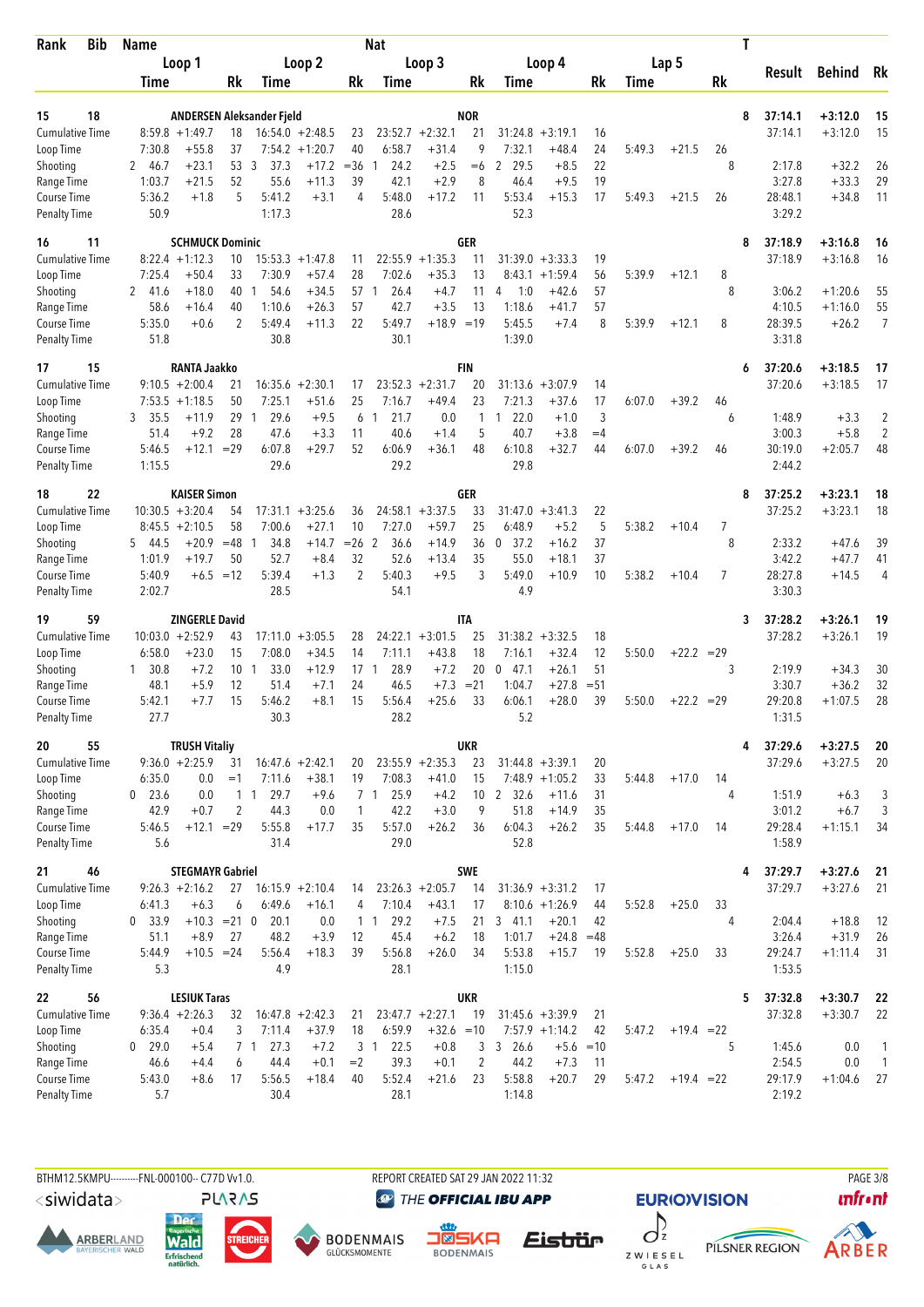| Bib<br>Rank                         | <b>Name</b>      |                                       |                |                           |                             |                    | <b>Nat</b>             |                               |                     |                     |                       |          |             |              |                | Τ                 |            |                                |
|-------------------------------------|------------------|---------------------------------------|----------------|---------------------------|-----------------------------|--------------------|------------------------|-------------------------------|---------------------|---------------------|-----------------------|----------|-------------|--------------|----------------|-------------------|------------|--------------------------------|
|                                     |                  | Loop 1                                |                |                           | Loop 2                      |                    |                        | Loop 3                        |                     |                     | Loop 4                |          |             | Lap 5        |                |                   |            |                                |
|                                     | Time             |                                       | Rk             | Time                      |                             | Rk                 | Time                   |                               | Rk                  | Time                |                       | Rk       | <b>Time</b> |              | Rk             | Result            | Behind     | Rk                             |
|                                     |                  |                                       |                |                           |                             |                    |                        |                               |                     |                     |                       |          |             |              |                |                   |            |                                |
| 15<br>18                            |                  |                                       |                | ANDERSEN Aleksander Fjeld |                             |                    |                        |                               | <b>NOR</b>          |                     |                       |          |             |              |                | 8<br>37:14.1      | $+3:12.0$  | 15                             |
| <b>Cumulative Time</b>              |                  | $8:59.8 + 1:49.7$                     | 18             |                           | $16:54.0 + 2:48.5$          | 23                 |                        | $23:52.7 + 2:32.1$            | 21                  | 31:24.8             | $+3:19.1$             | 16       |             |              |                | 37:14.1           | $+3:12.0$  | 15                             |
| Loop Time                           | 7:30.8<br>2 46.7 | $+55.8$<br>$+23.1$                    | 37<br>53       | -3<br>37.3                | $7:54.2 +1:20.7$<br>$+17.2$ | 40<br>$= 36$       | 6:58.7<br>24.2         | $+31.4$<br>$+2.5$             | 9<br>$=6$           | 7:32.1<br>2 29.5    | $+48.4$<br>$+8.5$     | 24<br>22 | 5:49.3      | $+21.5$      | 26<br>8        | 2:17.8            | $+32.2$    | 26                             |
| Shooting<br>Range Time              | 1:03.7           | $+21.5$                               | 52             | 55.6                      | $+11.3$                     | 39                 | 42.1                   | $+2.9$                        | 8                   | 46.4                | $+9.5$                | 19       |             |              |                | 3:27.8            | $+33.3$    | 29                             |
| Course Time                         | 5:36.2           | $+1.8$                                | 5              | 5:41.2                    | $+3.1$                      | 4                  | 5:48.0                 | $+17.2$                       | 11                  | 5:53.4              | $+15.3$               | 17       | 5:49.3      | $+21.5$      | 26             | 28:48.1           | $+34.8$    | 11                             |
| <b>Penalty Time</b>                 | 50.9             |                                       |                | 1:17.3                    |                             |                    | 28.6                   |                               |                     | 52.3                |                       |          |             |              |                | 3:29.2            |            |                                |
| 16<br>11                            |                  | <b>SCHMUCK Dominic</b>                |                |                           |                             |                    |                        |                               | <b>GER</b>          |                     |                       |          |             |              |                | 8<br>37:18.9      | $+3:16.8$  | 16                             |
| <b>Cumulative Time</b>              |                  | $8:22.4 +1:12.3$                      | 10             |                           | $15:53.3 + 1:47.8$          | 11                 | 22:55.9                | $+1:35.3$                     | 11                  |                     | $31:39.0 + 3:33.3$    | 19       |             |              |                | 37:18.9           | $+3:16.8$  | 16                             |
| Loop Time                           | 7:25.4           | +50.4                                 | 33             | 7:30.9                    | $+57.4$                     | 28                 | 7:02.6                 | $+35.3$                       | 13                  |                     | $8:43.1 + 1:59.4$     | 56       | 5:39.9      | $+12.1$      | 8              |                   |            |                                |
| Shooting                            | 2 41.6           | $+18.0$                               | 40             | 54.6<br>1                 | $+34.5$                     | 57                 | 26.4<br>1              | $+4.7$                        | 11                  | 4<br>1:0            | $+42.6$               | 57       |             |              | 8              | 3:06.2            | $+1:20.6$  | 55                             |
| Range Time                          | 58.6             | $+16.4$                               | 40             | 1:10.6                    | $+26.3$                     | 57                 | 42.7                   | $+3.5$                        | 13                  | 1:18.6              | $+41.7$               | 57       |             |              |                | 4:10.5            | $+1:16.0$  | 55                             |
| Course Time                         | 5:35.0           | $+0.6$                                | 2              | 5:49.4                    | $+11.3$                     | 22                 | 5:49.7                 | $+18.9 = 19$                  |                     | 5:45.5              | $+7.4$                | 8        | 5:39.9      | $+12.1$      | 8              | 28:39.5           | $+26.2$    | 7                              |
| <b>Penalty Time</b>                 | 51.8             |                                       |                | 30.8                      |                             |                    | 30.1                   |                               |                     | 1:39.0              |                       |          |             |              |                | 3:31.8            |            |                                |
| 15<br>17                            |                  | <b>RANTA Jaakko</b>                   |                |                           |                             |                    |                        |                               | <b>FIN</b>          |                     |                       |          |             |              |                | 37:20.6<br>6      | $+3:18.5$  | 17                             |
| <b>Cumulative Time</b>              |                  | $9:10.5 + 2:00.4$<br>$7:53.5 +1:18.5$ | 21<br>50       | 16:35.6<br>7:25.1         | $+2:30.1$<br>$+51.6$        | 17<br>25           |                        | $23:52.3 + 2:31.7$<br>$+49.4$ | 20<br>23            | 31:13.6<br>7:21.3   | $+3:07.9$<br>$+37.6$  | 14<br>17 | 6:07.0      | $+39.2$      |                | 37:20.6           | $+3:18.5$  | 17                             |
| Loop Time<br>Shooting               | 3 35.5           | $+11.9$                               | 29             | 29.6<br>-1                | $+9.5$                      | 6                  | 7:16.7<br>21.7<br>1    | 0.0                           | 1                   | 122.0               | $+1.0$                | 3        |             |              | 46<br>6        | 1:48.9            | $+3.3$     |                                |
| Range Time                          | 51.4             | $+9.2$                                | 28             | 47.6                      | $+3.3$                      | 11                 | 40.6                   | $+1.4$                        | 5                   | 40.7                | $+3.8$                | $=4$     |             |              |                | 3:00.3            | $+5.8$     | 2<br>2                         |
| Course Time                         | 5:46.5           | $+12.1$                               | $=29$          | 6:07.8                    | $+29.7$                     | 52                 | 6:06.9                 | $+36.1$                       | 48                  | 6:10.8              | $+32.7$               | 44       | 6:07.0      | $+39.2$      | 46             | 30:19.0           | $+2:05.7$  | 48                             |
| <b>Penalty Time</b>                 | 1:15.5           |                                       |                | 29.6                      |                             |                    | 29.2                   |                               |                     | 29.8                |                       |          |             |              |                | 2:44.2            |            |                                |
| 22<br>18                            |                  | <b>KAISER Simon</b>                   |                |                           |                             |                    |                        |                               | GER                 |                     |                       |          |             |              |                | 37:25.2<br>8      | $+3:23.1$  | 18                             |
| <b>Cumulative Time</b>              |                  | $10:30.5 + 3:20.4$                    | 54             |                           | $17:31.1 + 3:25.6$          | 36                 |                        | $24:58.1 + 3:37.5$            | 33                  |                     | $31:47.0 + 3:41.3$    | 22       |             |              |                | 37:25.2           | $+3:23.1$  | 18                             |
| Loop Time                           |                  | $8:45.5 + 2:10.5$                     | 58             | 7:00.6                    | $+27.1$                     | 10                 | 7:27.0                 | $+59.7$                       | 25                  | 6:48.9              | $+5.2$                | 5        | 5:38.2      | $+10.4$      | 7              |                   |            |                                |
| Shooting                            | 5 44.5           | $+20.9$                               | $=48$          | $\mathbf{1}$<br>34.8      | $+14.7$                     | $= 26$ 2           | 36.6                   | $+14.9$                       | 36                  | $\mathbf 0$<br>37.2 | $+16.2$               | 37       |             |              | 8              | 2:33.2            | $+47.6$    | 39                             |
| Range Time                          | 1:01.9           | $+19.7$                               | 50             | 52.7                      | $+8.4$                      | 32                 | 52.6                   | $+13.4$                       | 35                  | 55.0                | $+18.1$               | 37       |             |              |                | 3:42.2            | $+47.7$    | 41                             |
| Course Time<br><b>Penalty Time</b>  | 5:40.9<br>2:02.7 |                                       | $+6.5 = 12$    | 5:39.4<br>28.5            | $+1.3$                      | 2                  | 5:40.3<br>54.1         | $+9.5$                        | 3                   | 5:49.0<br>4.9       | $+10.9$               | 10       | 5:38.2      | $+10.4$      | $\overline{7}$ | 28:27.8<br>3:30.3 | $+14.5$    | 4                              |
|                                     |                  |                                       |                |                           |                             |                    |                        |                               |                     |                     |                       |          |             |              |                |                   |            |                                |
| 59<br>19                            |                  | <b>ZINGERLE David</b>                 |                |                           |                             |                    |                        |                               | IΤA                 |                     | $31:38.2 + 3:32.5$    |          |             |              |                | 37:28.2<br>3      | $+3:26.1$  | 19                             |
| <b>Cumulative Time</b><br>Loop Time | 6:58.0           | $10:03.0 + 2:52.9$<br>$+23.0$         | 43<br>15       | 17:11.0<br>7:08.0         | $+3:05.5$<br>$+34.5$        | 28<br>14           | 7:11.1                 | $24:22.1 + 3:01.5$<br>$+43.8$ | 25<br>18            | 7:16.1              | $+32.4$               | 18<br>12 | 5:50.0      | $+22.2 = 29$ |                | 37:28.2           | $+3:26.1$  | 19                             |
| Shooting                            | 30.8<br>1        | $+7.2$                                | 10             | 33.0<br>-1                | $+12.9$                     | 17                 | 28.9<br>-1             | $+7.2$                        | 20                  | $0$ 47.1            | $+26.1$               | 51       |             |              | 3              | 2:19.9            | $+34.3$    | 30                             |
| Range Time                          | 48.1             | $+5.9$                                | 12             | 51.4                      | $+7.1$                      | 24                 | 46.5                   | $+7.3$                        | $= 21$              | 1:04.7              | $+27.8$               | $= 51$   |             |              |                | 3:30.7            | $+36.2$    | 32                             |
| Course Time                         | 5:42.1           | $+7.7$                                | 15             | 5:46.2                    | $+8.1$                      | 15                 | 5:56.4                 | $+25.6$                       | 33                  | 6:06.1              | $+28.0$               | 39       | 5:50.0      | $+22.2 = 29$ |                | 29:20.8           | $+1:07.5$  | 28                             |
| <b>Penalty Time</b>                 | 27.7             |                                       |                | 30.3                      |                             |                    | 28.2                   |                               |                     | 5.2                 |                       |          |             |              |                | 1:31.5            |            |                                |
| 20<br>55                            |                  | <b>TRUSH Vitaliy</b>                  |                |                           |                             |                    |                        |                               | <b>UKR</b>          |                     |                       |          |             |              |                | 37:29.6<br>4      | $+3:27.5$  | 20                             |
| Cumulative Time                     |                  | $9:36.0 + 2:25.9$                     | 31             |                           | $16:47.6 + 2:42.1$          | 20                 |                        | $23:55.9 + 2:35.3$            | 23                  |                     | $31:44.8 + 3:39.1$    | 20       |             |              |                | 37:29.6           | $+3:27.5$  | 20                             |
| Loop Time                           | 6:35.0           | 0.0                                   | $=1$           | 7:11.6                    | $+38.1$                     | 19                 | 7:08.3                 | $+41.0$                       | 15                  |                     | $7:48.9 +1:05.2$      | 33       | 5:44.8      | $+17.0$      | 14             |                   |            |                                |
| Shooting                            | $0$ 23.6         | 0.0                                   |                | 29.7<br>1 1               | $+9.6$                      |                    | 7 <sub>1</sub><br>25.9 | $+4.2$                        |                     | 10 2 32.6           | $+11.6$               | 31       |             |              | 4              | 1:51.9            | $+6.3$     | 3                              |
| Range Time<br>Course Time           | 42.9             | $+0.7$<br>$+12.1 = 29$                | $\overline{2}$ | 44.3<br>5:55.8            | 0.0<br>$+17.7$              | $\mathbf{1}$<br>35 | 42.2<br>5:57.0         | $+3.0$<br>$+26.2$             | 9                   | 51.8<br>6:04.3      | $+14.9$<br>$+26.2$    | 35<br>35 |             |              | 14             | 3:01.2<br>29:28.4 | $+6.7$     | 3                              |
| <b>Penalty Time</b>                 | 5:46.5<br>5.6    |                                       |                | 31.4                      |                             |                    | 29.0                   |                               | 36                  | 52.8                |                       |          | 5:44.8      | $+17.0$      |                | 1:58.9            | $+1:15.1$  | 34                             |
| 46<br>21                            |                  | <b>STEGMAYR Gabriel</b>               |                |                           |                             |                    |                        |                               | <b>SWE</b>          |                     |                       |          |             |              |                | 37:29.7<br>4      | $+3:27.6$  | 21                             |
| <b>Cumulative Time</b>              |                  | $9:26.3 +2:16.2$                      | 27             | $16:15.9 + 2:10.4$        |                             | 14                 |                        | $23:26.3 +2:05.7$             | 14                  |                     | $31:36.9 + 3:31.2$    | 17       |             |              |                | 37:29.7           | $+3:27.6$  | 21                             |
| Loop Time                           | 6:41.3           | $+6.3$                                | 6              | 6:49.6                    | $+16.1$                     | 4                  | 7:10.4                 | $+43.1$                       | 17                  |                     | $8:10.6 + 1:26.9$     | 44       | 5:52.8      | $+25.0$      | 33             |                   |            |                                |
| Shooting                            | 0, 33.9          | $+10.3 = 21.0$                        |                | 20.1                      | 0.0                         | $\mathbf{1}$       | 29.2<br>$\overline{1}$ | $+7.5$                        | 21                  | 3, 41.1             | $+20.1$               | 42       |             |              | 4              | 2:04.4            | $+18.8$    | 12                             |
| Range Time                          | 51.1             | $+8.9$                                | 27             | 48.2                      | $+3.9$                      | 12                 | 45.4                   | $+6.2$                        | 18                  | 1:01.7              | $+24.8$               | $=48$    |             |              |                | 3:26.4            | $+31.9$    | 26                             |
| Course Time                         | 5:44.9           | $+10.5 = 24$                          |                | 5:56.4                    | $+18.3$                     | 39                 | 5:56.8                 | $+26.0$                       | 34                  | 5:53.8              | $+15.7$               | 19       | 5:52.8      | $+25.0$      | 33             | 29:24.7           | $+1:11.4$  | 31                             |
| <b>Penalty Time</b>                 | 5.3              |                                       |                | 4.9                       |                             |                    | 28.1                   |                               |                     | 1:15.0              |                       |          |             |              |                | 1:53.5            |            |                                |
| 56<br>22                            |                  | <b>LESIUK Taras</b>                   |                |                           |                             |                    |                        |                               | <b>UKR</b>          |                     |                       |          |             |              |                | 37:32.8<br>5      | $+3:30.7$  | 22                             |
| Cumulative Time                     |                  | $9:36.4 +2:26.3$                      | 32             |                           | $16:47.8 + 2:42.3$          | 21                 |                        | $23:47.7 + 2:27.1$            | 19                  |                     | $31:45.6 + 3:39.9$    | 21       |             |              |                | 37:32.8           | $+3:30.7$  | 22                             |
| Loop Time                           | 6:35.4           | $+0.4$                                | 3              | 7:11.4                    | $+37.9$                     | 18                 | 6:59.9                 | $+32.6 = 10$                  |                     |                     | $7:57.9$ +1:14.2      | 42       | 5:47.2      | $+19.4 = 22$ |                |                   |            |                                |
| Shooting<br>Range Time              | 0 29.0<br>46.6   | $+5.4$<br>$+4.4$                      | 6              | 27.3<br>7 1<br>44.4       | $+7.2$<br>$+0.1$            | $=2$               | 22.5<br>3 1<br>39.3    | $+0.8$<br>$+0.1$              | 3<br>$\overline{2}$ | 3, 26.6<br>44.2     | $+5.6 = 10$<br>$+7.3$ | 11       |             |              | 5              | 1:45.6<br>2:54.5  | 0.0<br>0.0 | $\mathbf{1}$<br>$\overline{1}$ |
| Course Time                         | 5:43.0           | $+8.6$                                | 17             | 5:56.5                    | $+18.4$                     | 40                 | 5:52.4                 | $+21.6$                       | 23                  | 5:58.8              | $+20.7$               | 29       | 5:47.2      | $+19.4 = 22$ |                | 29:17.9           | $+1:04.6$  | 27                             |
| <b>Penalty Time</b>                 | 5.7              |                                       |                | 30.4                      |                             |                    | 28.1                   |                               |                     | 1:14.8              |                       |          |             |              |                | 2:19.2            |            |                                |
|                                     |                  |                                       |                |                           |                             |                    |                        |                               |                     |                     |                       |          |             |              |                |                   |            |                                |

BTHM12.5KMPU---------FNL-000100-- C77D Vv1.0. REPORT CREATED SAT 29 JAN 2022 11:32 PAGE 3/8

<siwidata>

**ARBERLAND** 





**@** THE OFFICIAL IBU APP

**DENMAIS** 





**EURIO)VISION** 

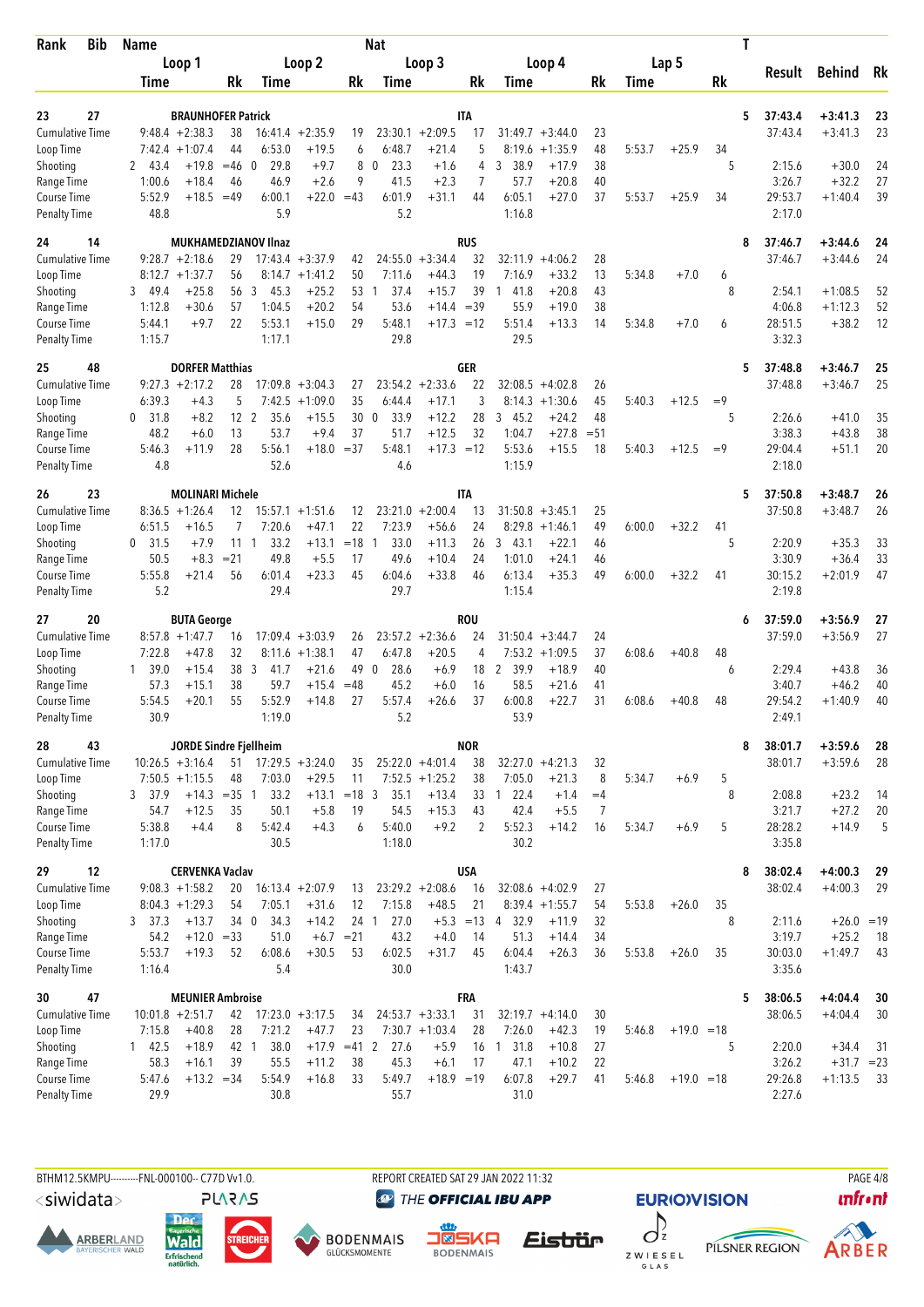| Bib<br>Rank                         | <b>Name</b>      |                                                |                 |                             |                                |             | <b>Nat</b>           |                                        |                  |                        |                                 |          |        |              |      | Τ |                    |                        |          |
|-------------------------------------|------------------|------------------------------------------------|-----------------|-----------------------------|--------------------------------|-------------|----------------------|----------------------------------------|------------------|------------------------|---------------------------------|----------|--------|--------------|------|---|--------------------|------------------------|----------|
|                                     |                  | Loop 1                                         |                 |                             | Loop 2                         |             |                      | Loop 3                                 |                  |                        | Loop 4                          |          |        | Lap 5        |      |   |                    |                        | Rk       |
|                                     | Time             |                                                | Rk              | Time                        |                                | Rk          | Time                 |                                        | Rk               | Time                   |                                 | Rk       | Time   |              | Rk   |   | Result             | <b>Behind</b>          |          |
|                                     |                  |                                                |                 |                             |                                |             |                      |                                        |                  |                        |                                 |          |        |              |      |   |                    |                        |          |
| 27<br>23<br><b>Cumulative Time</b>  |                  | <b>BRAUNHOFER Patrick</b><br>$9:48.4 + 2:38.3$ | 38              | 16:41.4                     | $+2:35.9$                      | 19          | 23:30.1              | $+2:09.5$                              | <b>ITA</b><br>17 |                        | $31:49.7 + 3:44.0$              | 23       |        |              |      | 5 | 37:43.4<br>37:43.4 | $+3:41.3$<br>$+3:41.3$ | 23<br>23 |
| Loop Time                           | 7:42.4           | $+1:07.4$                                      | 44              | 6:53.0                      | $+19.5$                        | 6           | 6:48.7               | $+21.4$                                | 5                | 8:19.6                 | $+1:35.9$                       | 48       | 5:53.7 | $+25.9$      | 34   |   |                    |                        |          |
| Shooting                            | 2 43.4           | $+19.8$                                        | $=46$           | 29.8<br>$\Omega$            | $+9.7$                         | 8           | 23.3<br>$\mathbf 0$  | $+1.6$                                 | 4                | 3 38.9                 | $+17.9$                         | 38       |        |              | 5    |   | 2:15.6             | $+30.0$                | 24       |
| Range Time                          | 1:00.6           | $+18.4$                                        | 46              | 46.9                        | $+2.6$                         | 9           | 41.5                 | $+2.3$                                 | 7                | 57.7                   | $+20.8$                         | 40       |        |              |      |   | 3:26.7             | $+32.2$                | 27       |
| Course Time                         | 5:52.9           | $+18.5$                                        | $=49$           | 6:00.1                      | $+22.0$                        | $=43$       | 6:01.9               | $+31.1$                                | 44               | 6:05.1                 | $+27.0$                         | 37       | 5:53.7 | $+25.9$      | 34   |   | 29:53.7            | $+1:40.4$              | 39       |
| <b>Penalty Time</b>                 | 48.8             |                                                |                 | 5.9                         |                                |             | 5.2                  |                                        |                  | 1:16.8                 |                                 |          |        |              |      |   | 2:17.0             |                        |          |
| 24<br>14                            |                  |                                                |                 | <b>MUKHAMEDZIANOV IInaz</b> |                                |             |                      |                                        | <b>RUS</b>       |                        |                                 |          |        |              |      | 8 | 37:46.7            | $+3:44.6$              | 24       |
| Cumulative Time                     |                  | $9:28.7 +2:18.6$                               | 29              |                             | $17:43.4 + 3:37.9$             | 42          | 24:55.0              | $+3:34.4$                              | 32               | 32:11.9                | $+4:06.2$                       | 28       |        |              |      |   | 37:46.7            | $+3:44.6$              | 24       |
| Loop Time                           |                  | $8:12.7 + 1:37.7$                              | 56              |                             | $8:14.7 + 1:41.2$              | 50          | 7:11.6               | $+44.3$                                | 19               | 7:16.9                 | $+33.2$                         | 13       | 5:34.8 | $+7.0$       | 6    |   |                    |                        |          |
| Shooting<br>Range Time              | 3 49.4<br>1:12.8 | $+25.8$<br>$+30.6$                             | 56<br>57        | 3<br>45.3<br>1:04.5         | $+25.2$<br>$+20.2$             | 53<br>54    | 37.4<br>1<br>53.6    | $+15.7$<br>$+14.4 = 39$                | 39               | 1<br>41.8<br>55.9      | $+20.8$<br>$+19.0$              | 43<br>38 |        |              | 8    |   | 2:54.1<br>4:06.8   | $+1:08.5$<br>$+1:12.3$ | 52<br>52 |
| Course Time                         | 5:44.1           | $+9.7$                                         | 22              | 5:53.1                      | $+15.0$                        | 29          | 5:48.1               | $+17.3 = 12$                           |                  | 5:51.4                 | $+13.3$                         | 14       | 5:34.8 | $+7.0$       | 6    |   | 28:51.5            | $+38.2$                | 12       |
| <b>Penalty Time</b>                 | 1:15.7           |                                                |                 | 1:17.1                      |                                |             | 29.8                 |                                        |                  | 29.5                   |                                 |          |        |              |      |   | 3:32.3             |                        |          |
| 25<br>48                            |                  | <b>DORFER Matthias</b>                         |                 |                             |                                |             |                      |                                        | GER              |                        |                                 |          |        |              |      | 5 | 37:48.8            | $+3:46.7$              | 25       |
| <b>Cumulative Time</b>              |                  | $9:27.3 +2:17.2$                               | 28              |                             | $17:09.8 + 3:04.3$             | 27          |                      | $23:54.2 +2:33.6$                      | 22               | 32:08.5                | $+4:02.8$                       | 26       |        |              |      |   | 37:48.8            | $+3:46.7$              | 25       |
| Loop Time                           | 6:39.3           | $+4.3$                                         | 5               | 7:42.5                      | $+1:09.0$                      | 35          | 6:44.4               | $+17.1$                                | 3                | 8:14.3                 | $+1:30.6$                       | 45       | 5:40.3 | $+12.5$      | $=9$ |   |                    |                        |          |
| Shooting                            | 31.8<br>0        | $+8.2$                                         | 12 <sup>2</sup> | 35.6                        | $+15.5$                        | 30          | 33.9<br>$\mathbf 0$  | $+12.2$                                | 28               | 3, 45.2                | $+24.2$                         | 48       |        |              | 5    |   | 2:26.6             | $+41.0$                | 35       |
| Range Time                          | 48.2             | $+6.0$                                         | 13              | 53.7                        | $+9.4$                         | 37          | 51.7                 | $+12.5$                                | 32               | 1:04.7                 | $+27.8$                         | $= 51$   |        |              |      |   | 3:38.3             | $+43.8$                | 38       |
| Course Time<br><b>Penalty Time</b>  | 5:46.3<br>4.8    | $+11.9$                                        | 28              | 5:56.1<br>52.6              | $+18.0 = 37$                   |             | 5:48.1<br>4.6        | $+17.3 = 12$                           |                  | 5:53.6<br>1:15.9       | $+15.5$                         | 18       | 5:40.3 | $+12.5$      | $=9$ |   | 29:04.4<br>2:18.0  | $+51.1$                | 20       |
|                                     |                  |                                                |                 |                             |                                |             |                      |                                        |                  |                        |                                 |          |        |              |      |   |                    |                        |          |
| 23<br>26<br>Cumulative Time         |                  | <b>MOLINARI Michele</b><br>$8:36.5 +1:26.4$    | 12              |                             | $15:57.1 + 1:51.6$             | 12          |                      | $23:21.0 + 2:00.4$                     | IΤΑ<br>13        |                        | $31:50.8 + 3:45.1$              | 25       |        |              |      | 5 | 37:50.8<br>37:50.8 | $+3:48.7$<br>$+3:48.7$ | 26<br>26 |
| Loop Time                           | 6:51.5           | $+16.5$                                        | 7               | 7:20.6                      | $+47.1$                        | 22          | 7:23.9               | $+56.6$                                | 24               | 8:29.8                 | $+1:46.1$                       | 49       | 6:00.0 | $+32.2$      | 41   |   |                    |                        |          |
| Shooting                            | 0, 31.5          | $+7.9$                                         | 11              | 33.2<br>$\overline{1}$      | $+13.1$                        | $=18$       | 33.0<br>-1           | $+11.3$                                | 26               | 3, 43.1                | $+22.1$                         | 46       |        |              | 5    |   | 2:20.9             | $+35.3$                | 33       |
| Range Time                          | 50.5             | $+8.3$                                         | $= 21$          | 49.8                        | $+5.5$                         | 17          | 49.6                 | $+10.4$                                | 24               | 1:01.0                 | $+24.1$                         | 46       |        |              |      |   | 3:30.9             | $+36.4$                | 33       |
| Course Time                         | 5:55.8           | $+21.4$                                        | 56              | 6:01.4                      | $+23.3$                        | 45          | 6:04.6               | $+33.8$                                | 46               | 6:13.4                 | $+35.3$                         | 49       | 6:00.0 | $+32.2$      | 41   |   | 30:15.2            | $+2:01.9$              | 47       |
| <b>Penalty Time</b>                 | 5.2              |                                                |                 | 29.4                        |                                |             | 29.7                 |                                        |                  | 1:15.4                 |                                 |          |        |              |      |   | 2:19.8             |                        |          |
| 20<br>27                            |                  | <b>BUTA George</b>                             |                 |                             |                                |             |                      |                                        | <b>ROU</b>       |                        |                                 |          |        |              |      | 6 | 37:59.0            | $+3:56.9$              | 27       |
| <b>Cumulative Time</b><br>Loop Time | 7:22.8           | $8:57.8 + 1:47.7$<br>$+47.8$                   | 16<br>32        | 17:09.4                     | $+3:03.9$<br>$8:11.6 + 1:38.1$ | 26<br>47    | 6:47.8               | $23:57.2 +2:36.6$<br>$+20.5$           | 24<br>4          | 7:53.2                 | $31:50.4 + 3:44.7$<br>$+1:09.5$ | 24<br>37 | 6:08.6 | $+40.8$      | 48   |   | 37:59.0            | $+3:56.9$              | 27       |
| Shooting                            | 39.0<br>1        | $+15.4$                                        | 38              | 3<br>41.7                   | $+21.6$                        | 49          | 28.6<br>$\mathbf{0}$ | $+6.9$                                 | 18               | $\overline{2}$<br>39.9 | $+18.9$                         | 40       |        |              | 6    |   | 2:29.4             | $+43.8$                | 36       |
| Range Time                          | 57.3             | $+15.1$                                        | 38              | 59.7                        | $+15.4$                        | $=48$       | 45.2                 | $+6.0$                                 | 16               | 58.5                   | $+21.6$                         | 41       |        |              |      |   | 3:40.7             | $+46.2$                | 40       |
| Course Time                         | 5:54.5           | $+20.1$                                        | 55              | 5:52.9                      | $+14.8$                        | 27          | 5:57.4               | $+26.6$                                | 37               | 6:00.8                 | $+22.7$                         | 31       | 6:08.6 | $+40.8$      | 48   |   | 29:54.2            | $+1:40.9$              | 40       |
| <b>Penalty Time</b>                 | 30.9             |                                                |                 | 1:19.0                      |                                |             | 5.2                  |                                        |                  | 53.9                   |                                 |          |        |              |      |   | 2:49.1             |                        |          |
| 28<br>43                            |                  | JORDE Sindre Fjellheim                         |                 |                             |                                |             |                      |                                        | <b>NOR</b>       |                        |                                 |          |        |              |      | 8 | 38:01.7            | $+3:59.6$              | 28       |
| Cumulative Time                     |                  | $10:26.5 + 3:16.4$                             |                 | $51$ $17:29.5$ $+3:24.0$    |                                | 35          |                      | $25:22.0 +4:01.4$                      | 38               |                        | $32:27.0 +4:21.3$               | 32       |        |              |      |   | 38:01.7            | $+3:59.6$              | 28       |
| Loop Time                           |                  | $7:50.5 +1:15.5$                               | 48              | 7:03.0                      | $+29.5$                        | 11          |                      | $7:52.5 +1:25.2$                       | 38               | 7:05.0                 | $+21.3$                         | 8        | 5:34.7 | $+6.9$       | 5    |   |                    |                        |          |
| Shooting                            | 3 37.9           | $+14.3$                                        | $=35$ 1         | 33.2                        | $+13.1$                        | $=18$ 3     | 35.1                 | $+13.4$                                | 33               | 22.4<br>$\overline{1}$ | $+1.4$                          | $=4$     |        |              | 8    |   | 2:08.8             | $+23.2$                | -14      |
| Range Time<br>Course Time           | 54.7<br>5:38.8   | $+12.5$<br>$+4.4$                              | 35<br>8         | 50.1<br>5:42.4              | $+5.8$<br>$+4.3$               | 19<br>6     | 54.5<br>5:40.0       | $+15.3$<br>$+9.2$                      | 43<br>2          | 42.4<br>5:52.3         | $+5.5$<br>$+14.2$               | 7<br>16  | 5:34.7 | $+6.9$       | 5    |   | 3:21.7<br>28:28.2  | $+27.2$<br>$+14.9$     | 20<br>5  |
| <b>Penalty Time</b>                 | 1:17.0           |                                                |                 | 30.5                        |                                |             | 1:18.0               |                                        |                  | 30.2                   |                                 |          |        |              |      |   | 3:35.8             |                        |          |
| 12<br>29                            |                  | <b>CERVENKA Vaclav</b>                         |                 |                             |                                |             |                      |                                        | <b>USA</b>       |                        |                                 |          |        |              |      | 8 | 38:02.4            | $+4:00.3$              | 29       |
| Cumulative Time                     |                  | $9:08.3 +1:58.2$                               | 20              |                             | $16:13.4 + 2:07.9$             | 13          |                      | $23:29.2 + 2:08.6$                     | 16               |                        | $32:08.6 +4:02.9$               | 27       |        |              |      |   | 38:02.4            | $+4:00.3$              | 29       |
| Loop Time                           |                  | $8:04.3 +1:29.3$                               | 54              | 7:05.1                      | $+31.6$                        | 12          | 7:15.8               | $+48.5$                                | 21               |                        | $8:39.4 +1:55.7$                | 54       | 5:53.8 | $+26.0$      | 35   |   |                    |                        |          |
| Shooting                            | 3, 37.3          | $+13.7$                                        | 34 0            | 34.3                        | $+14.2$                        | 24 1        | 27.0                 | $+5.3$                                 | $=13$            | 4 32.9                 | $+11.9$                         | 32       |        |              | 8    |   | 2:11.6             | $+26.0 = 19$           |          |
| Range Time                          | 54.2             | $+12.0$                                        | $= 33$          | 51.0                        |                                | $+6.7 = 21$ | 43.2                 | $+4.0$                                 | 14               | 51.3                   | $+14.4$                         | 34       |        |              |      |   | 3:19.7             | $+25.2$                | - 18     |
| Course Time                         | 5:53.7           | $+19.3$                                        | 52              | 6:08.6                      | $+30.5$                        | 53          | 6:02.5               | $+31.7$                                | 45               | 6:04.4                 | $+26.3$                         | 36       | 5:53.8 | $+26.0$      | 35   |   | 30:03.0            | $+1:49.7$              | 43       |
| <b>Penalty Time</b>                 | 1:16.4           |                                                |                 | 5.4                         |                                |             | 30.0                 |                                        |                  | 1:43.7                 |                                 |          |        |              |      |   | 3:35.6             |                        |          |
| 30<br>47                            |                  | <b>MEUNIER Ambroise</b>                        |                 |                             |                                |             |                      |                                        | <b>FRA</b>       |                        |                                 |          |        |              |      | 5 | 38:06.5            | $+4:04.4$              | 30       |
| <b>Cumulative Time</b><br>Loop Time | 7:15.8           | $10:01.8 + 2:51.7$<br>$+40.8$                  | 42<br>28        | 7:21.2                      | $17:23.0 +3:17.5$<br>$+47.7$   | 34<br>23    |                      | $24:53.7 + 3:33.1$<br>$7:30.7 +1:03.4$ | 31<br>28         | 7:26.0                 | $32:19.7 +4:14.0$<br>$+42.3$    | 30<br>19 | 5:46.8 | $+19.0 = 18$ |      |   | 38:06.5            | $+4:04.4$              | 30       |
| Shooting                            | 142.5            | $+18.9$                                        | 42 1            | 38.0                        | $+17.9$ =41 2                  |             | 27.6                 | $+5.9$                                 | 16               | $1 \t31.8$             | $+10.8$                         | 27       |        |              | 5    |   | 2:20.0             | $+34.4$                | -31      |
| Range Time                          | 58.3             | $+16.1$                                        | 39              | 55.5                        | $+11.2$                        | 38          | 45.3                 | $+6.1$                                 | 17               | 47.1                   | $+10.2$                         | 22       |        |              |      |   | 3:26.2             | $+31.7 = 23$           |          |
| Course Time                         | 5:47.6           | $+13.2 = 34$                                   |                 | 5:54.9                      | $+16.8$                        | 33          | 5:49.7               | $+18.9 = 19$                           |                  | 6:07.8                 | $+29.7$                         | 41       | 5:46.8 | $+19.0 = 18$ |      |   | 29:26.8            | $+1:13.5$              | - 33     |
| <b>Penalty Time</b>                 | 29.9             |                                                |                 | 30.8                        |                                |             | 55.7                 |                                        |                  | 31.0                   |                                 |          |        |              |      |   | 2:27.6             |                        |          |

<siwidata>

**ARBERLAND** 







REPORT CREATED SAT 29 JAN 2022 11:32

**@** THE OFFICIAL IBU APP

**EURIO)VISION**  $\int_{z}$ PILSNER REGION



Z W I E S E L<br>G L A S

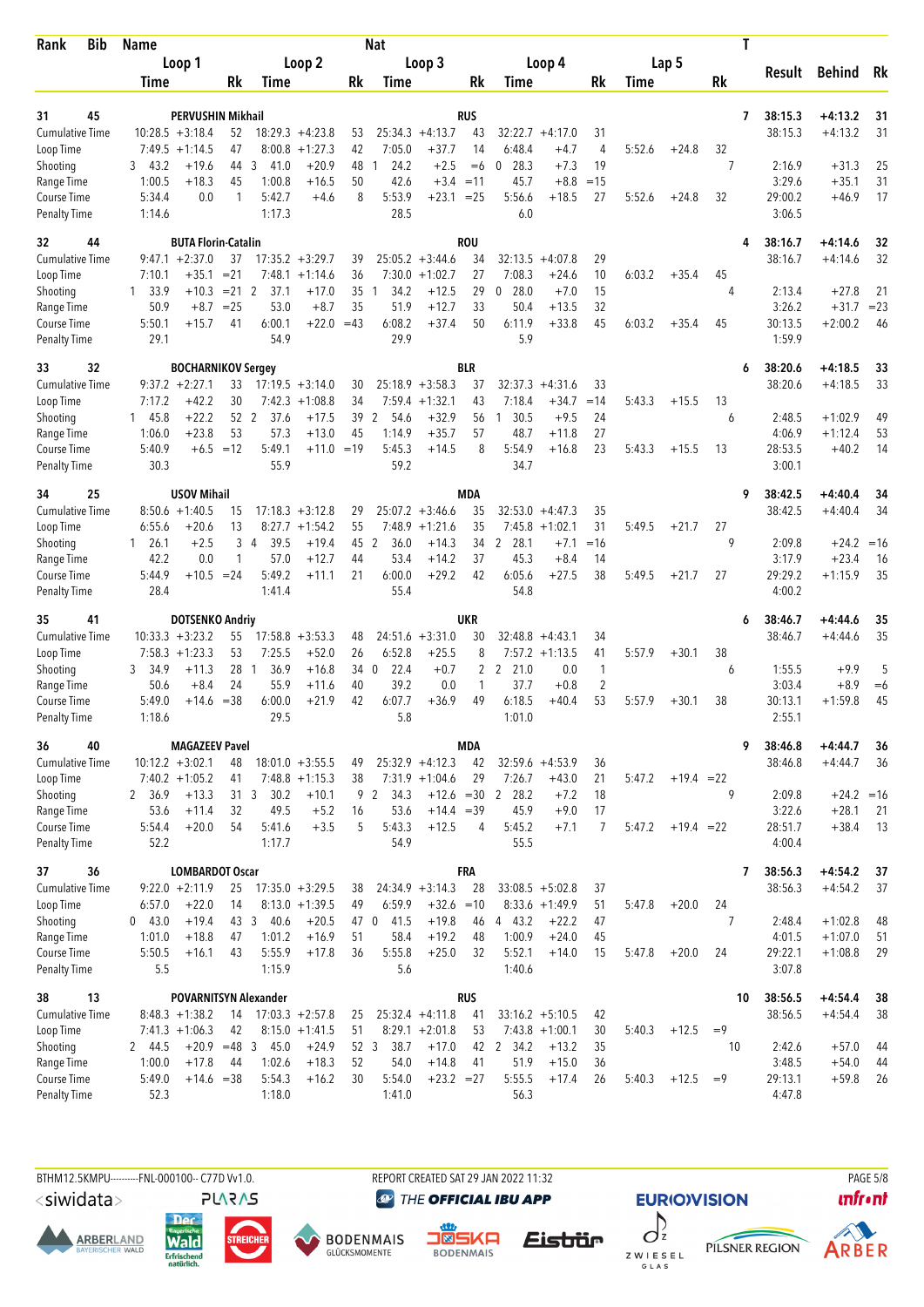| <b>Bib</b><br>Rank                  | <b>Name</b>                             |                                                       |                     | Nat                                          |            |                                           |              |                   | Τ              |                   |              |              |
|-------------------------------------|-----------------------------------------|-------------------------------------------------------|---------------------|----------------------------------------------|------------|-------------------------------------------|--------------|-------------------|----------------|-------------------|--------------|--------------|
|                                     | Loop 1                                  | Loop 2                                                |                     | Loop 3                                       |            | Loop 4                                    |              | Lap 5             |                | Result            | Behind       | Rk           |
|                                     | Time                                    | Rk<br>Time                                            | Rk                  | Time                                         | Rk         | Time                                      | Rk           | Time              | Rk             |                   |              |              |
| 45<br>31                            |                                         | PERVUSHIN Mikhail                                     |                     |                                              | <b>RUS</b> |                                           |              |                   | 7              | 38:15.3           | +4:13.2      | 31           |
| <b>Cumulative Time</b>              | $10:28.5 + 3:18.4$                      | 52<br>$18:29.3 + 4:23.8$                              | 53                  | $25:34.3 +4:13.7$                            | 43         | $32:22.7 +4:17.0$                         | 31           |                   |                | 38:15.3           | $+4:13.2$    | 31           |
| Loop Time                           | $7:49.5 +1:14.5$                        | 47<br>$8:00.8 + 1:27.3$                               | 42                  | 7:05.0<br>$+37.7$                            | 14         | 6:48.4<br>$+4.7$                          | 4            | 5:52.6<br>$+24.8$ | 32             |                   |              |              |
| Shooting                            | $+19.6$<br>3, 43.2                      | 44<br>41.0<br>3                                       | $+20.9$<br>48       | 24.2<br>$+2.5$<br>1                          | $=6$       | 28.3<br>$+7.3$<br>0                       | 19           |                   | 7              | 2:16.9            | $+31.3$      | 25           |
| Range Time                          | 1:00.5<br>$+18.3$                       | 45<br>1:00.8                                          | $+16.5$<br>50       | 42.6<br>$+3.4 = 11$                          |            | 45.7<br>$+8.8$                            | $=15$        |                   |                | 3:29.6            | $+35.1$      | 31           |
| Course Time<br><b>Penalty Time</b>  | 5:34.4<br>1:14.6                        | 5:42.7<br>0.0<br>1<br>1:17.3                          | 8<br>$+4.6$         | 5:53.9<br>$+23.1$<br>28.5                    | $= 25$     | 5:56.6<br>$+18.5$<br>6.0                  | 27           | 5:52.6<br>$+24.8$ | 32             | 29:00.2<br>3:06.5 | $+46.9$      | 17           |
| 32<br>44                            |                                         | <b>BUTA Florin-Catalin</b>                            |                     |                                              | <b>ROU</b> |                                           |              |                   | 4              | 38:16.7           | +4:14.6      | 32           |
| Cumulative Time                     | $9:47.1 + 2:37.0$                       | 37<br>$17:35.2 + 3:29.7$                              | 39                  | $25:05.2 + 3:44.6$                           | 34         | $32:13.5 + 4:07.8$                        | 29           |                   |                | 38:16.7           | $+4:14.6$    | 32           |
| Loop Time                           | 7:10.1<br>+35.1<br>33.9<br>$+10.3$<br>1 | $= 21$<br>$7:48.1 + 1:14.6$<br>$= 21$ 2<br>37.1       | 36<br>$+17.0$<br>35 | 7:30.0<br>$+1:02.7$<br>34.2<br>$+12.5$<br>1  | 27<br>29   | 7:08.3<br>$+24.6$<br>0<br>28.0<br>$+7.0$  | 10<br>15     | 6:03.2<br>$+35.4$ | 45<br>4        | 2:13.4            | $+27.8$      |              |
| Shooting<br>Range Time              | 50.9<br>$+8.7$                          | 53.0<br>$= 25$                                        | 35<br>$+8.7$        | 51.9<br>$+12.7$                              | 33         | 50.4<br>$+13.5$                           | 32           |                   |                | 3:26.2            | $+31.7$      | 21<br>$= 23$ |
| Course Time                         | 5:50.1<br>$+15.7$                       | 6:00.1<br>41                                          | $+22.0 = 43$        | 6:08.2<br>$+37.4$                            | 50         | $+33.8$<br>6:11.9                         | 45           | 6:03.2<br>$+35.4$ | 45             | 30:13.5           | $+2:00.2$    | 46           |
| <b>Penalty Time</b>                 | 29.1                                    | 54.9                                                  |                     | 29.9                                         |            | 5.9                                       |              |                   |                | 1:59.9            |              |              |
| 32<br>33                            |                                         | <b>BOCHARNIKOV Sergey</b>                             |                     |                                              | BLR        |                                           |              |                   | 6              | 38:20.6           | $+4:18.5$    | 33           |
| <b>Cumulative Time</b><br>Loop Time | $9:37.2 +2:27.1$<br>7:17.2<br>$+42.2$   | 33<br>$17:19.5 + 3:14.0$<br>30<br>7:42.3<br>$+1:08.8$ | 30<br>34            | $25:18.9 + 3:58.3$<br>$7:59.4$ +1:32.1       | 37<br>43   | 32:37.3<br>$+4:31.6$<br>$+34.7$<br>7:18.4 | 33<br>$=14$  | 5:43.3<br>$+15.5$ | 13             | 38:20.6           | $+4:18.5$    | 33           |
| Shooting                            | 145.8<br>$+22.2$                        | 52 2<br>37.6                                          | $+17.5$<br>39       | 54.6<br>$+32.9$<br>2                         | 56         | 30.5<br>$+9.5$<br>1                       | 24           |                   | 6              | 2:48.5            | $+1:02.9$    | 49           |
| Range Time                          | $+23.8$<br>1:06.0                       | 53<br>57.3                                            | 45<br>$+13.0$       | 1:14.9<br>$+35.7$                            | 57         | 48.7<br>+11.8                             | 27           |                   |                | 4:06.9            | $+1:12.4$    | 53           |
| Course Time                         | 5:40.9                                  | $+6.5 = 12$<br>5:49.1                                 | $+11.0 = 19$        | 5:45.3<br>$+14.5$                            | 8          | 5:54.9<br>$+16.8$                         | 23           | 5:43.3<br>$+15.5$ | 13             | 28:53.5           | $+40.2$      | 14           |
| <b>Penalty Time</b>                 | 30.3                                    | 55.9                                                  |                     | 59.2                                         |            | 34.7                                      |              |                   |                | 3:00.1            |              |              |
| 25<br>34                            | <b>USOV Mihail</b>                      |                                                       |                     |                                              | <b>MDA</b> |                                           |              |                   | 9              | 38:42.5           | +4:40.4      | 34           |
| <b>Cumulative Time</b>              | $8:50.6 + 1:40.5$<br>$+20.6$<br>6:55.6  | $17:18.3 + 3:12.8$<br>15<br>13<br>$+1:54.2$           | 29<br>55            | $25:07.2 +3:46.6$<br>7:48.9<br>$+1:21.6$     | 35<br>35   | $32:53.0 +4:47.3$<br>$7:45.8 + 1:02.1$    | 35<br>31     | 5:49.5<br>$+21.7$ | 27             | 38:42.5           | $+4:40.4$    | 34           |
| Loop Time<br>Shooting               | $+2.5$<br>$1 \quad 26.1$                | 8:27.7<br>3<br>39.5<br>4                              | $+19.4$<br>45 2     | 36.0<br>$+14.3$                              | 34         | 2<br>28.1<br>$+7.1$                       | $=16$        |                   | 9              | 2:09.8            | $+24.2 = 16$ |              |
| Range Time                          | 42.2                                    | 0.0<br>1<br>57.0                                      | $+12.7$<br>44       | 53.4<br>$+14.2$                              | 37         | 45.3<br>$+8.4$                            | 14           |                   |                | 3:17.9            | $+23.4$      | -16          |
| Course Time                         | 5:44.9<br>$+10.5$                       | 5:49.2<br>$= 24$                                      | 21<br>$+11.1$       | 6:00.0<br>$+29.2$                            | 42         | 6:05.6<br>$+27.5$                         | 38           | 5:49.5<br>$+21.7$ | 27             | 29:29.2           | $+1:15.9$    | 35           |
| <b>Penalty Time</b>                 | 28.4                                    | 1:41.4                                                |                     | 55.4                                         |            | 54.8                                      |              |                   |                | 4:00.2            |              |              |
| 41<br>35                            |                                         | <b>DOTSENKO Andriy</b>                                |                     |                                              | <b>UKR</b> |                                           |              |                   | 6              | 38:46.7           | $+4:44.6$    | 35           |
| <b>Cumulative Time</b><br>Loop Time | $10:33.3 + 3:23.2$<br>$7:58.3 +1:23.3$  | 55<br>$17:58.8 + 3:53.3$<br>53<br>7:25.5              | 48<br>26<br>$+52.0$ | $24:51.6 + 3:31.0$<br>6:52.8<br>$+25.5$      | 30<br>8    | 32:48.8<br>$+4:43.1$<br>$7:57.2 +1:13.5$  | 34<br>41     | 5:57.9<br>$+30.1$ | 38             | 38:46.7           | $+4:44.6$    | 35           |
| Shooting                            | 34.9<br>$+11.3$<br>3                    | 28<br>36.9<br>-1                                      | $+16.8$<br>34 0     | 22.4<br>$+0.7$                               | 2          | 2 21.0<br>0.0                             | $\mathbf{1}$ |                   | 6              | 1:55.5            | $+9.9$       | 5            |
| Range Time                          | 50.6<br>$+8.4$                          | 55.9<br>24                                            | 40<br>$+11.6$       | 39.2<br>0.0                                  | 1          | 37.7<br>$+0.8$                            | 2            |                   |                | 3:03.4            | $+8.9$       | $=6$         |
| Course Time                         | 5:49.0<br>+14.6                         | $= 38$<br>6:00.0                                      | $+21.9$<br>42       | 6:07.7<br>$+36.9$                            | 49         | 6:18.5<br>$+40.4$                         | 53           | 5:57.9<br>$+30.1$ | 38             | 30:13.1           | $+1:59.8$    | 45           |
| <b>Penalty Time</b>                 | 1:18.6                                  | 29.5                                                  |                     | 5.8                                          |            | 1:01.0                                    |              |                   |                | 2:55.1            |              |              |
| 36<br>40                            |                                         | <b>MAGAZEEV Pavel</b>                                 |                     |                                              | <b>MDA</b> |                                           |              |                   | 9              | 38:46.8           | $+4:44.7$    | 36           |
| <b>Cumulative Time</b><br>Loop Time | $10:12.2 + 3:02.1$<br>$7:40.2 +1:05.2$  | $18:01.0 + 3:55.5$<br>48<br>$7:48.8$ +1:15.3<br>41    | 49<br>38            | $25:32.9 +4:12.3$<br>$7:31.9 +1:04.6$        | 42<br>29   | $32:59.6 +4:53.9$<br>7:26.7<br>$+43.0$    | 36<br>21     | 5:47.2            | $+19.4 = 22$   | 38:46.8           | $+4:44.7$    | 36           |
| Shooting                            | 2 36.9<br>$+13.3$                       | 31 <sub>3</sub><br>30.2                               | $+10.1$             | 9 2 34.3<br>$+12.6 = 30$                     |            | 28.2<br>$+7.2$<br>2                       | 18           |                   | 9              | 2:09.8            | $+24.2 = 16$ |              |
| Range Time                          | 53.6<br>$+11.4$                         | 32<br>49.5                                            | $+5.2$<br>16        | 53.6<br>$+14.4 = 39$                         |            | 45.9<br>$+9.0$                            | 17           |                   |                | 3:22.6            | $+28.1$      | -21          |
| Course Time                         | 5:54.4<br>$+20.0$                       | 54<br>5:41.6                                          | 5<br>$+3.5$         | 5:43.3<br>$+12.5$                            | 4          | 5:45.2<br>$+7.1$                          | 7            | 5:47.2            | $+19.4 = 22$   | 28:51.7           | $+38.4$      | 13           |
| <b>Penalty Time</b>                 | 52.2                                    | 1:17.7                                                |                     | 54.9                                         |            | 55.5                                      |              |                   |                | 4:00.4            |              |              |
| 36<br>37                            |                                         | <b>LOMBARDOT Oscar</b>                                |                     |                                              | FRA        |                                           |              |                   | 7              | 38:56.3           | $+4:54.2$    | 37           |
| <b>Cumulative Time</b><br>Loop Time | $9:22.0 +2:11.9$<br>6:57.0<br>$+22.0$   | 25<br>$17:35.0 + 3:29.5$<br>14<br>$8:13.0 +1:39.5$    | 38<br>49            | $24:34.9 + 3:14.3$<br>6:59.9<br>$+32.6 = 10$ | 28         | $33:08.5 + 5:02.8$<br>$8:33.6 +1:49.9$    | 37<br>51     | $+20.0$<br>5:47.8 | 24             | 38:56.3           | $+4:54.2$    | 37           |
| Shooting                            | $+19.4$<br>043.0                        | 43 3<br>40.6                                          | $+20.5$<br>47 0     | 41.5<br>$+19.8$                              | 46         | 4 43.2<br>$+22.2$                         | 47           |                   | $\overline{7}$ | 2:48.4            | $+1:02.8$    | 48           |
| Range Time                          | 1:01.0<br>$+18.8$                       | 1:01.2<br>47                                          | $+16.9$<br>51       | 58.4<br>$+19.2$                              | 48         | 1:00.9<br>$+24.0$                         | 45           |                   |                | 4:01.5            | $+1:07.0$    | 51           |
| Course Time                         | 5:50.5<br>$+16.1$                       | 43<br>5:55.9                                          | $+17.8$<br>36       | 5:55.8<br>$+25.0$                            | 32         | 5:52.1<br>$+14.0$                         | 15           | 5:47.8<br>$+20.0$ | 24             | 29:22.1           | $+1:08.8$    | 29           |
| <b>Penalty Time</b>                 | 5.5                                     | 1:15.9                                                |                     | 5.6                                          |            | 1:40.6                                    |              |                   |                | 3:07.8            |              |              |
| 13<br>38                            |                                         | <b>POVARNITSYN Alexander</b>                          |                     |                                              | <b>RUS</b> |                                           |              |                   | 10             | 38:56.5           | $+4:54.4$    | 38           |
| <b>Cumulative Time</b><br>Loop Time | $8:48.3 +1:38.2$<br>$7:41.3 +1:06.3$    | $17:03.3 + 2:57.8$<br>14<br>42<br>$8:15.0 +1:41.5$    | 25<br>51            | $25:32.4 +4:11.8$<br>$8:29.1 + 2:01.8$       | 41<br>53   | $33:16.2 + 5:10.5$<br>$7:43.8 +1:00.1$    | 42<br>30     | 5:40.3<br>$+12.5$ | $=9$           | 38:56.5           | $+4:54.4$    | 38           |
| Shooting                            | 2 44.5                                  | $+20.9 = 48$ 3<br>45.0                                | $+24.9$<br>52 3     | 38.7<br>$+17.0$                              |            | 42 2 34.2<br>$+13.2$                      | 35           |                   | 10             | 2:42.6            | $+57.0$      | 44           |
| Range Time                          | 1:00.0<br>$+17.8$                       | 1:02.6<br>44                                          | $+18.3$<br>52       | 54.0<br>$+14.8$                              | 41         | 51.9<br>$+15.0$                           | 36           |                   |                | 3:48.5            | $+54.0$      | 44           |
| Course Time                         | 5:49.0                                  | 5:54.3<br>$+14.6 = 38$                                | $+16.2$<br>30       | 5:54.0<br>$+23.2 = 27$                       |            | 5:55.5<br>$+17.4$                         | 26           | 5:40.3<br>$+12.5$ | $=9$           | 29:13.1           | $+59.8$      | 26           |
| <b>Penalty Time</b>                 | 52.3                                    | 1:18.0                                                |                     | 1:41.0                                       |            | 56.3                                      |              |                   |                | 4:47.8            |              |              |

<siwidata>

**ARBERLAND** 







REPORT CREATED SAT 29 JAN 2022 11:32

**@** THE OFFICIAL IBU APP

 $\int_{z}$ Eistrür Z W I E S E L<br>G L A S

**EURIO)VISION** PILSNER REGION



**PAGE 5/8**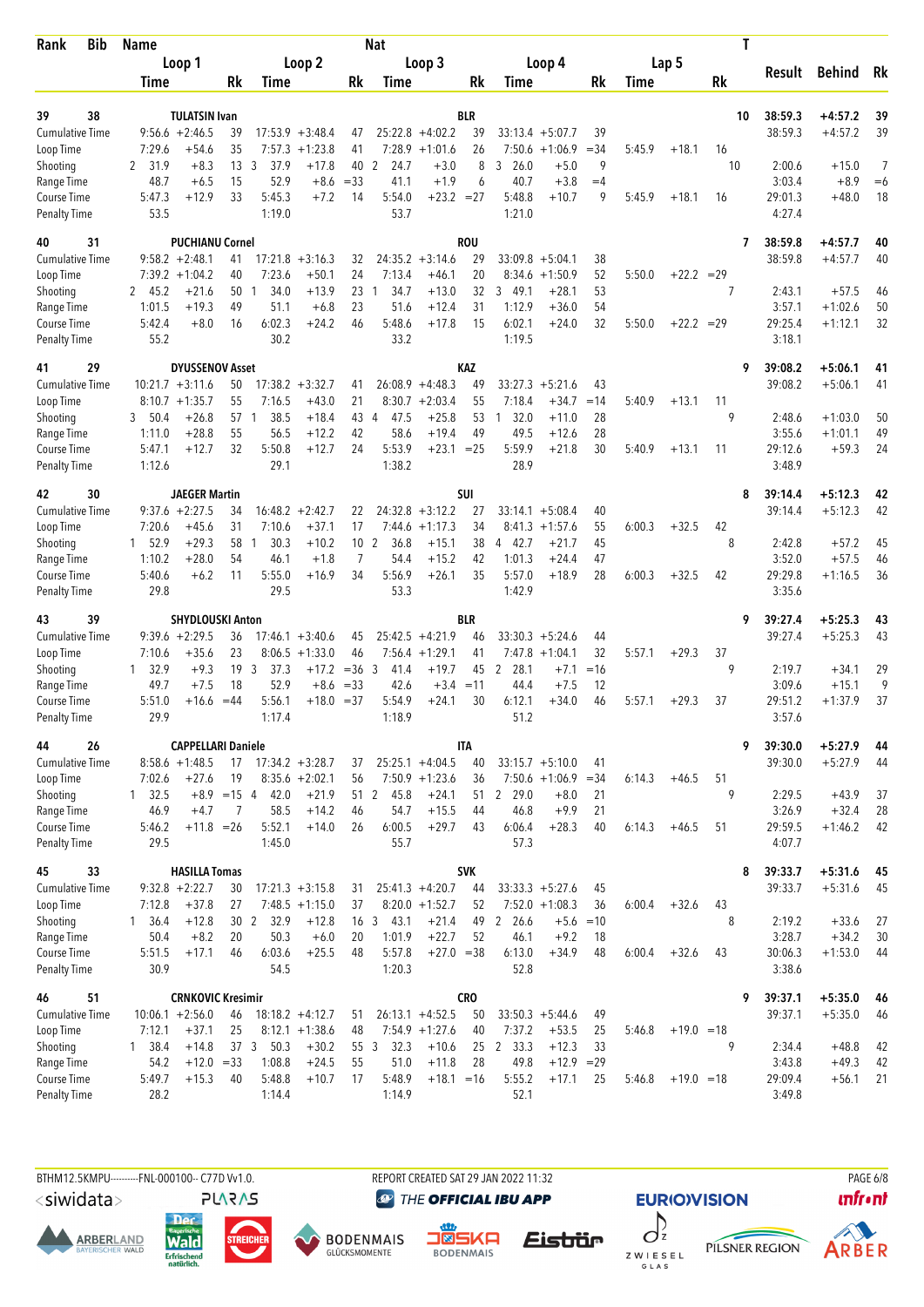| <b>Bib</b><br>Rank                  | <b>Name</b>                    |                                |                                         |                 | Nat                     |                                       |                  |                        |                                        |             |        |              | Τ       |                    |                        |          |
|-------------------------------------|--------------------------------|--------------------------------|-----------------------------------------|-----------------|-------------------------|---------------------------------------|------------------|------------------------|----------------------------------------|-------------|--------|--------------|---------|--------------------|------------------------|----------|
|                                     | Loop 1                         |                                | Loop 2                                  |                 |                         | Loop 3                                |                  |                        | Loop 4                                 |             |        | Lap 5        |         |                    |                        |          |
|                                     | Time                           | Rk                             | Time                                    | Rk              | Time                    |                                       | Rk               | Time                   |                                        | Rk          | Time   |              | Rk      | Result             | <b>Behind</b>          | Rk       |
|                                     |                                |                                |                                         |                 |                         |                                       |                  |                        |                                        |             |        |              |         |                    |                        |          |
| 38<br>39<br><b>Cumulative Time</b>  | $9:56.6 + 2:46.5$              | <b>TULATSIN Ivan</b><br>39     | $17:53.9 + 3:48.4$                      |                 |                         | $25:22.8 + 4:02.2$                    | <b>BLR</b><br>39 |                        | $33:13.4 + 5:07.7$                     | 39          |        |              | 10      | 38:59.3<br>38:59.3 | $+4:57.2$<br>$+4:57.2$ | 39<br>39 |
| Loop Time                           | 7:29.6                         | 35<br>$+54.6$                  | 7:57.3<br>$+1:23.8$                     | 47<br>41        |                         | $7:28.9 +1:01.6$                      | 26               | 7:50.6                 | $+1:06.9$                              | $= 34$      | 5:45.9 | $+18.1$      | 16      |                    |                        |          |
| Shooting                            | 2 31.9                         | 13 <sup>3</sup><br>$+8.3$      | 37.9<br>$+17.8$                         |                 | 40 2<br>24.7            | $+3.0$                                | 8                | 3, 26.0                | $+5.0$                                 | 9           |        |              | 10      | 2:00.6             | $+15.0$                | 7        |
| Range Time                          | 48.7                           | 15<br>$+6.5$                   | 52.9<br>$+8.6$                          | $= 33$          | 41.1                    | $+1.9$                                | 6                | 40.7                   | $+3.8$                                 | $=4$        |        |              |         | 3:03.4             | $+8.9$                 | $=6$     |
| Course Time                         | 5:47.3                         | 33<br>$+12.9$                  | 5:45.3<br>$+7.2$                        | 14              | 5:54.0                  | $+23.2 = 27$                          |                  | 5:48.8                 | $+10.7$                                | 9           | 5:45.9 | $+18.1$      | 16      | 29:01.3            | $+48.0$                | 18       |
| <b>Penalty Time</b>                 | 53.5                           |                                | 1:19.0                                  |                 | 53.7                    |                                       |                  | 1:21.0                 |                                        |             |        |              |         | 4:27.4             |                        |          |
| 31<br>40                            |                                | <b>PUCHIANU Cornel</b>         |                                         |                 |                         |                                       | <b>ROU</b>       |                        |                                        |             |        |              | 7       | 38:59.8            | $+4:57.7$              | 40       |
| Cumulative Time                     | $9:58.2 +2:48.1$               | 41                             | $17:21.8 + 3:16.3$                      | 32              |                         | $24:35.2 +3:14.6$                     | 29               |                        | $33:09.8 + 5:04.1$                     | 38          |        |              |         | 38:59.8            | $+4:57.7$              | 40       |
| Loop Time                           | $7:39.2 +1:04.2$               | 40                             | 7:23.6<br>$+50.1$                       | 24              | 7:13.4                  | $+46.1$                               | 20               | 8:34.6                 | $+1:50.9$                              | 52          | 5:50.0 | $+22.2 = 29$ |         |                    |                        |          |
| Shooting                            | 2 45.2                         | $+21.6$<br>50                  | 34.0<br>$+13.9$<br>$\mathbf{1}$         | 23              | 34.7<br>1               | $+13.0$                               | 32               | 3<br>49.1              | $+28.1$                                | 53          |        |              | 7       | 2:43.1             | $+57.5$                | 46       |
| Range Time<br>Course Time           | 1:01.5<br>5:42.4               | $+19.3$<br>49<br>$+8.0$<br>16  | 51.1<br>$+6.8$<br>6:02.3<br>$+24.2$     | 23<br>46        | 51.6<br>5:48.6          | $+12.4$<br>$+17.8$                    | 31<br>15         | 1:12.9<br>6:02.1       | $+36.0$<br>$+24.0$                     | 54<br>32    | 5:50.0 | $+22.2 = 29$ |         | 3:57.1<br>29:25.4  | $+1:02.6$<br>$+1:12.1$ | 50<br>32 |
| <b>Penalty Time</b>                 | 55.2                           |                                | 30.2                                    |                 | 33.2                    |                                       |                  | 1:19.5                 |                                        |             |        |              |         | 3:18.1             |                        |          |
| 29<br>41                            |                                | <b>DYUSSENOV Asset</b>         |                                         |                 |                         |                                       | KAZ              |                        |                                        |             |        |              | 9       | 39:08.2            | $+5:06.1$              | 41       |
| <b>Cumulative Time</b>              | $10:21.7 + 3:11.6$             | 50                             | 17:38.2<br>$+3:32.7$                    | 41              |                         | $26:08.9 + 4:48.3$                    | 49               | 33:27.3                | $+5:21.6$                              | 43          |        |              |         | 39:08.2            | $+5:06.1$              | 41       |
| Loop Time                           | $8:10.7 + 1:35.7$              | 55                             | $+43.0$<br>7:16.5                       | 21              |                         | $8:30.7 +2:03.4$                      | 55               | 7:18.4                 | $+34.7$                                | $=14$       | 5:40.9 | $+13.1$      | 11      |                    |                        |          |
| Shooting                            | 50.4<br>3                      | $+26.8$<br>57                  | 38.5<br>$+18.4$<br>-1                   | 43 4            | 47.5                    | $+25.8$                               | 53               | 32.0<br>1              | $+11.0$                                | 28          |        |              | 9       | 2:48.6             | $+1:03.0$              | 50       |
| Range Time                          | 1:11.0                         | 55<br>$+28.8$                  | $+12.2$<br>56.5                         | 42              | 58.6                    | $+19.4$                               | 49               | 49.5                   | $+12.6$                                | 28          |        |              |         | 3:55.6             | $+1:01.1$              | 49       |
| Course Time                         | 5:47.1<br>1:12.6               | 32<br>$+12.7$                  | 5:50.8<br>$+12.7$<br>29.1               | 24              | 5:53.9<br>1:38.2        | $+23.1$                               | $= 25$           | 5:59.9<br>28.9         | $+21.8$                                | 30          | 5:40.9 | $+13.1$      | 11      | 29:12.6<br>3:48.9  | $+59.3$                | 24       |
| <b>Penalty Time</b>                 |                                |                                |                                         |                 |                         |                                       |                  |                        |                                        |             |        |              |         |                    |                        |          |
| 30<br>42                            |                                | <b>JAEGER Martin</b>           |                                         |                 |                         |                                       | SUI              |                        |                                        |             |        |              | 8       | 39:14.4            | $+5:12.3$              | 42       |
| <b>Cumulative Time</b><br>Loop Time | $9:37.6 + 2:27.5$              | 34<br>$+45.6$<br>31            | $16:48.2 + 2:42.7$<br>7:10.6<br>$+37.1$ | 22<br>17        |                         | $24:32.8 + 3:12.2$                    | 27<br>34         |                        | $33:14.1 + 5:08.4$<br>$+1:57.6$        | 40<br>55    |        | $+32.5$      | 42      | 39:14.4            | $+5:12.3$              | 42       |
| Shooting                            | 7:20.6<br>52.9<br>$\mathbf{1}$ | $+29.3$<br>58                  | 30.3<br>$+10.2$<br>-1                   | 10 <sub>2</sub> | 7:44.6<br>36.8          | $+1:17.3$<br>$+15.1$                  | 38               | 8:41.3<br>4 42.7       | $+21.7$                                | 45          | 6:00.3 |              | 8       | 2:42.8             | $+57.2$                | 45       |
| Range Time                          | 1:10.2                         | $+28.0$<br>54                  | 46.1<br>$+1.8$                          | $\overline{7}$  | 54.4                    | $+15.2$                               | 42               | 1:01.3                 | $+24.4$                                | 47          |        |              |         | 3:52.0             | $+57.5$                | 46       |
| Course Time                         | 5:40.6                         | 11<br>$+6.2$                   | 5:55.0<br>$+16.9$                       | 34              | 5:56.9                  | $+26.1$                               | 35               | 5:57.0                 | $+18.9$                                | 28          | 6:00.3 | $+32.5$      | 42      | 29:29.8            | $+1:16.5$              | 36       |
| <b>Penalty Time</b>                 | 29.8                           |                                | 29.5                                    |                 | 53.3                    |                                       |                  | 1:42.9                 |                                        |             |        |              |         | 3:35.6             |                        |          |
| 39<br>43                            |                                | <b>SHYDLOUSKI Anton</b>        |                                         |                 |                         |                                       | <b>BLR</b>       |                        |                                        |             |        |              | 9       | 39:27.4            | $+5:25.3$              | 43       |
| <b>Cumulative Time</b>              | $9:39.6 + 2:29.5$              | 36                             | $17:46.1 + 3:40.6$                      | 45              |                         | $25:42.5 +4:21.9$                     | 46               |                        | $33:30.3 + 5:24.6$                     | 44          |        |              |         | 39:27.4            | $+5:25.3$              | 43       |
| Loop Time                           | 7:10.6                         | 23<br>$+35.6$                  | $8:06.5 +1:33.0$                        | 46              | 7:56.4                  | $+1:29.1$                             | 41               | 7:47.8                 | $+1:04.1$                              | 32          | 5:57.1 | $+29.3$      | 37      |                    |                        |          |
| Shooting                            | 32.9<br>1                      | 19<br>$+9.3$                   | 3<br>37.3<br>$+17.2$                    | $=36.3$         | 41.4                    | $+19.7$                               | 45               | $\overline{2}$<br>28.1 | $+7.1$                                 | $=16$       |        |              | 9       | 2:19.7             | $+34.1$                | 29       |
| Range Time<br>Course Time           | 49.7<br>5:51.0                 | 18<br>$+7.5$<br>$=44$<br>+16.6 | 52.9<br>$+8.6$<br>5:56.1<br>$+18.0$     | $= 33$<br>$=37$ | 42.6<br>5:54.9          | $+3.4 = 11$<br>$+24.1$                | 30               | 44.4<br>6:12.1         | $+7.5$<br>$+34.0$                      | 12<br>46    | 5:57.1 | $+29.3$      | 37      | 3:09.6<br>29:51.2  | $+15.1$<br>$+1:37.9$   | 9<br>37  |
| <b>Penalty Time</b>                 | 29.9                           |                                | 1:17.4                                  |                 | 1:18.9                  |                                       |                  | 51.2                   |                                        |             |        |              |         | 3:57.6             |                        |          |
| 44<br>26                            |                                | <b>CAPPELLARI Daniele</b>      |                                         |                 |                         |                                       | <b>ITA</b>       |                        |                                        |             |        |              | 9       | 39:30.0            | $+5:27.9$              | 44       |
| Cumulative Time                     | $8:58.6 +1:48.5$               | 17                             | $17:34.2 + 3:28.7$                      | 37              |                         | $25:25.1 +4:04.5$                     | 40               |                        | $33:15.7 + 5:10.0$                     | 41          |        |              |         | 39:30.0            | $+5:27.9$              | 44       |
| Loop Time                           | 7:02.6                         | $+27.6$<br>19                  | $8:35.6 + 2:02.1$                       | 56              |                         | $7:50.9$ +1:23.6                      | 36               |                        | $7:50.6 +1:06.9$                       | $=34$       | 6:14.3 | $+46.5$      | 51      |                    |                        |          |
| Shooting                            | $1 \quad 32.5$                 | $+8.9 = 154$                   | 42.0<br>$+21.9$                         |                 | 51 2 45.8               | $+24.1$                               |                  | 51 2 29.0              | $+8.0$                                 | 21          |        |              | 9       | 2:29.5             | $+43.9$                | 37       |
| Range Time                          | 46.9                           | $+4.7$<br>7                    | 58.5<br>$+14.2$                         | 46              | 54.7                    | $+15.5$                               | 44               | 46.8                   | $+9.9$                                 | 21          |        |              |         | 3:26.9             | $+32.4$                | 28       |
| Course Time                         | 5:46.2                         | $+11.8 = 26$                   | 5:52.1<br>$+14.0$                       | 26              | 6:00.5                  | $+29.7$                               | 43               | 6:06.4                 | $+28.3$                                | 40          | 6:14.3 | $+46.5$      | 51      | 29:59.5            | $+1:46.2$              | 42       |
| <b>Penalty Time</b>                 | 29.5                           |                                | 1:45.0                                  |                 | 55.7                    |                                       |                  | 57.3                   |                                        |             |        |              |         | 4:07.7             |                        |          |
| 33<br>45                            |                                | <b>HASILLA Tomas</b>           |                                         |                 |                         |                                       | <b>SVK</b>       |                        |                                        |             |        |              | 8       | 39:33.7            | $+5:31.6$              | 45       |
| <b>Cumulative Time</b><br>Loop Time | $9:32.8 + 2:22.7$<br>7:12.8    | 30<br>$+37.8$<br>27            | $17:21.3 +3:15.8$<br>$7:48.5 +1:15.0$   | 31<br>37        |                         | $25:41.3 +4:20.7$<br>$8:20.0 +1:52.7$ | 44<br>52         |                        | $33:33.3 + 5:27.6$<br>$7:52.0 +1:08.3$ | 45          |        | $+32.6$      |         | 39:33.7            | $+5:31.6$              | 45       |
| Shooting                            | $1 \quad 36.4$                 | 30 <sub>2</sub><br>$+12.8$     | 32.9<br>$+12.8$                         |                 | 16 <sub>3</sub><br>43.1 | $+21.4$                               | 49               | 2 26.6                 | $+5.6$                                 | 36<br>$=10$ | 6:00.4 |              | 43<br>8 | 2:19.2             | $+33.6$                | 27       |
| Range Time                          | 50.4                           | $+8.2$<br>20                   | 50.3<br>$+6.0$                          | 20              | 1:01.9                  | $+22.7$                               | 52               | 46.1                   | $+9.2$                                 | 18          |        |              |         | 3:28.7             | $+34.2$                | 30       |
| Course Time                         | 5:51.5                         | $+17.1$<br>46                  | 6:03.6<br>$+25.5$                       | 48              | 5:57.8                  | $+27.0 = 38$                          |                  | 6:13.0                 | $+34.9$                                | 48          | 6:00.4 | $+32.6$      | 43      | 30:06.3            | $+1:53.0$              | 44       |
| <b>Penalty Time</b>                 | 30.9                           |                                | 54.5                                    |                 | 1:20.3                  |                                       |                  | 52.8                   |                                        |             |        |              |         | 3:38.6             |                        |          |
| 51<br>46                            |                                | <b>CRNKOVIC Kresimir</b>       |                                         |                 |                         |                                       | CRO              |                        |                                        |             |        |              | 9       | 39:37.1            | $+5:35.0$              | -46      |
| <b>Cumulative Time</b>              | $10:06.1 + 2:56.0$             | 46                             | $18:18.2 + 4:12.7$                      | 51              |                         | $26:13.1 + 4:52.5$                    | 50               |                        | $33:50.3 + 5:44.6$                     | 49          |        |              |         | 39:37.1            | $+5:35.0$              | 46       |
| Loop Time                           | 7:12.1                         | $+37.1$<br>25                  | $8:12.1 + 1:38.6$                       | 48              |                         | $7:54.9$ +1:27.6                      | 40               | 7:37.2                 | $+53.5$                                | 25          | 5:46.8 | $+19.0 = 18$ |         |                    |                        |          |
| Shooting                            | 1 38.4                         | $+14.8$                        | 37 3 50.3<br>$+30.2$                    |                 | 32.3<br>55 3            | $+10.6$                               |                  | 25 2 33.3              | $+12.3$                                | 33          |        |              | 9       | 2:34.4             | $+48.8$                | 42       |
| Range Time                          | 54.2                           | $+12.0 = 33$                   | 1:08.8<br>$+24.5$                       | 55              | 51.0                    | $+11.8$                               | 28               | 49.8                   | $+12.9$                                | $=29$       |        |              |         | 3:43.8             | $+49.3$                | 42       |
| Course Time<br><b>Penalty Time</b>  | 5:49.7<br>28.2                 | $+15.3$<br>40                  | 5:48.8<br>$+10.7$<br>1:14.4             | 17              | 5:48.9<br>1:14.9        | $+18.1 = 16$                          |                  | 5:55.2<br>52.1         | $+17.1$                                | 25          | 5:46.8 | $+19.0 = 18$ |         | 29:09.4<br>3:49.8  | $+56.1$                | 21       |
|                                     |                                |                                |                                         |                 |                         |                                       |                  |                        |                                        |             |        |              |         |                    |                        |          |

BTHM12.5KMPU---------FNL-000100-- C77D Vv1.0. REPORT CREATED SAT 29 JAN 2022 11:32 REPORT CREATED SAT 29 JAN 2022 11:32

<siwidata>

**ARBERLAND** 







**@** THE OFFICIAL IBU APP





PILSNER REGION

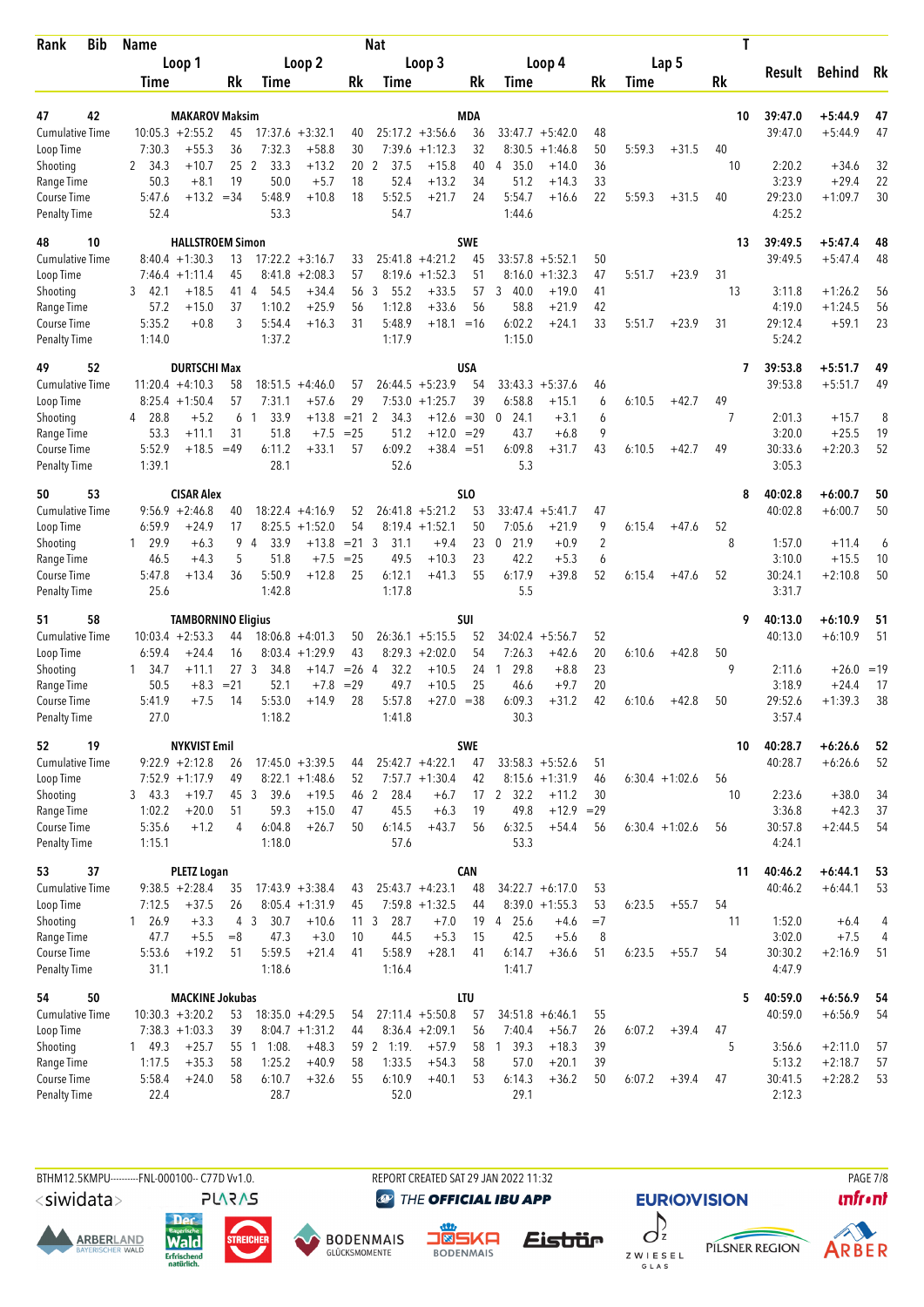| Bib<br>Rank            | <b>Name</b>      |                            |                           |                                |                    |                   | <b>Nat</b>          |                           |                 |                                |                      |                |        |                  | Τ        |                  |                         |        |
|------------------------|------------------|----------------------------|---------------------------|--------------------------------|--------------------|-------------------|---------------------|---------------------------|-----------------|--------------------------------|----------------------|----------------|--------|------------------|----------|------------------|-------------------------|--------|
|                        |                  | Loop 1                     |                           |                                | Loop 2             |                   |                     | Loop 3                    |                 |                                | Loop 4               |                |        | Lap 5            |          |                  |                         |        |
|                        | Time             |                            | Rk                        | Time                           |                    | Rk                | Time                |                           | Rk              | Time                           |                      | Rk             | Time   |                  | Rk       | Result           | <b>Behind</b>           | Rk     |
|                        |                  |                            |                           |                                |                    |                   |                     |                           |                 |                                |                      |                |        |                  |          |                  |                         |        |
| 42<br>47               |                  | <b>MAKAROV Maksim</b>      |                           |                                |                    |                   |                     |                           | MDA             |                                |                      |                |        |                  | 10       | 39:47.0          | $+5:44.9$               | 47     |
| <b>Cumulative Time</b> |                  | $10:05.3 + 2:55.2$         | 45<br>36                  | 7:32.3                         | $17:37.6 + 3:32.1$ | 40                |                     | $25:17.2 + 3:56.6$        | 36              |                                | $33:47.7 + 5:42.0$   | 48             |        |                  |          | 39:47.0          | $+5:44.9$               | 47     |
| Loop Time<br>Shooting  | 7:30.3<br>2 34.3 | $+55.3$<br>$+10.7$         |                           | 33.3<br>25 <sub>2</sub>        | $+58.8$<br>$+13.2$ | 30<br>20          | 7:39.6<br>37.5<br>2 | $+1:12.3$<br>$+15.8$      | 32<br>40        | 8:30.5<br>35.0<br>4            | $+1:46.8$<br>$+14.0$ | 50<br>36       | 5:59.3 | $+31.5$          | 40<br>10 | 2:20.2           | $+34.6$                 | 32     |
| Range Time             | 50.3             | $+8.1$                     | 19                        | 50.0                           | $+5.7$             | 18                | 52.4                | $+13.2$                   | 34              | 51.2                           | $+14.3$              | 33             |        |                  |          | 3:23.9           | $+29.4$                 | 22     |
| Course Time            | 5:47.6           | $+13.2 = 34$               |                           | 5:48.9                         | $+10.8$            | 18                | 5:52.5              | $+21.7$                   | 24              | 5:54.7                         | $+16.6$              | 22             | 5:59.3 | $+31.5$          | 40       | 29:23.0          | $+1:09.7$               | 30     |
| <b>Penalty Time</b>    | 52.4             |                            |                           | 53.3                           |                    |                   | 54.7                |                           |                 | 1:44.6                         |                      |                |        |                  |          | 4:25.2           |                         |        |
| 10<br>48               |                  | <b>HALLSTROEM Simon</b>    |                           |                                |                    |                   |                     |                           | <b>SWE</b>      |                                |                      |                |        |                  | 13       | 39:49.5          | $+5:47.4$               | 48     |
| <b>Cumulative Time</b> |                  | $8:40.4 +1:30.3$           | 13                        |                                | $17:22.2 + 3:16.7$ | 33                |                     | $25:41.8 +4:21.2$         | 45              |                                | $33:57.8 + 5:52.1$   | 50             |        |                  |          | 39:49.5          | $+5:47.4$               | 48     |
| Loop Time              |                  | $7:46.4 +1:11.4$           | 45                        | 8:41.8                         | $+2:08.3$          | 57                | 8:19.6              | $+1:52.3$                 | 51              | 8:16.0                         | $+1:32.3$            | 47             | 5:51.7 | $+23.9$          | 31       |                  |                         |        |
| Shooting               | 3<br>42.1        | $+18.5$                    | 41 4                      | 54.5                           | $+34.4$            | 56                | 3<br>55.2           | $+33.5$                   | 57              | 3<br>40.0                      | $+19.0$              | 41             |        |                  | 13       | 3:11.8           | $+1:26.2$               | 56     |
| Range Time             | 57.2             | $+15.0$                    | 37                        | 1:10.2                         | $+25.9$            | 56                | 1:12.8              | $+33.6$                   | 56              | 58.8                           | $+21.9$              | 42             |        |                  |          | 4:19.0           | $+1:24.5$               | 56     |
| Course Time            | 5:35.2           | $+0.8$                     | 3                         | 5:54.4                         | $+16.3$            | 31                | 5:48.9              | $+18.1 = 16$              |                 | 6:02.2                         | $+24.1$              | 33             | 5:51.7 | $+23.9$          | 31       | 29:12.4          | $+59.1$                 | 23     |
| <b>Penalty Time</b>    | 1:14.0           |                            |                           | 1:37.2                         |                    |                   | 1:17.9              |                           |                 | 1:15.0                         |                      |                |        |                  |          | 5:24.2           |                         |        |
| 52<br>49               |                  | <b>DURTSCHI Max</b>        |                           |                                |                    |                   |                     |                           | USA             |                                |                      |                |        |                  | 7        | 39:53.8          | $+5:51.7$               | 49     |
| <b>Cumulative Time</b> |                  | $11:20.4 +4:10.3$          | 58                        |                                | $18:51.5 +4:46.0$  | 57                |                     | $26:44.5 + 5:23.9$        | 54              |                                | $33:43.3 + 5:37.6$   | 46             |        |                  |          | 39:53.8          | $+5:51.7$               | 49     |
| Loop Time              | 4 28.8           | $8:25.4 +1:50.4$<br>$+5.2$ | 57<br>6                   | 7:31.1<br>33.9<br>-1           | $+57.6$<br>$+13.8$ | 29<br>$= 21$      | 7:53.0<br>34.3      | $+1:25.7$<br>$+12.6 = 30$ | 39              | 6:58.8<br>$\mathbf{0}$<br>24.1 | $+15.1$<br>$+3.1$    | 6<br>6         | 6:10.5 | $+42.7$          | 49<br>7  | 2:01.3           | $+15.7$                 | 8      |
| Shooting<br>Range Time | 53.3             | $+11.1$                    | 31                        | 51.8                           | $+7.5$             | $= 25$            | 2<br>51.2           | $+12.0 = 29$              |                 | 43.7                           | $+6.8$               | 9              |        |                  |          | 3:20.0           | $+25.5$                 | 19     |
| Course Time            | 5:52.9           | $+18.5 = 49$               |                           | 6:11.2                         | $+33.1$            | 57                | 6:09.2              | $+38.4 = 51$              |                 | 6:09.8                         | $+31.7$              | 43             | 6:10.5 | $+42.7$          | 49       | 30:33.6          | $+2:20.3$               | 52     |
| <b>Penalty Time</b>    | 1:39.1           |                            |                           | 28.1                           |                    |                   | 52.6                |                           |                 | 5.3                            |                      |                |        |                  |          | 3:05.3           |                         |        |
| 53<br>50               |                  | <b>CISAR Alex</b>          |                           |                                |                    |                   |                     |                           | SL <sub>0</sub> |                                |                      |                |        |                  | 8        | 40:02.8          | $+6:00.7$               | 50     |
| <b>Cumulative Time</b> |                  | $9:56.9 +2:46.8$           | 40                        |                                | $18:22.4 +4:16.9$  | 52                |                     | $26:41.8 + 5:21.2$        | 53              |                                | $33:47.4 + 5:41.7$   | 47             |        |                  |          | 40:02.8          | $+6:00.7$               | 50     |
| Loop Time              | 6:59.9           | +24.9                      | 17                        | 8:25.5                         | $+1:52.0$          | 54                |                     | $8:19.4 +1:52.1$          | 50              | 7:05.6                         | $+21.9$              | 9              | 6:15.4 | $+47.6$          | 52       |                  |                         |        |
| Shooting               | 1, 29.9          | $+6.3$                     | 9                         | 33.9<br>$\overline{4}$         | $+13.8$            | $= 21 \quad 3$    | 31.1                | $+9.4$                    | 23              | $\mathbf 0$<br>21.9            | $+0.9$               | $\overline{2}$ |        |                  | 8        | 1:57.0           | $+11.4$                 | 6      |
| Range Time             | 46.5             | $+4.3$                     | 5                         | 51.8                           | $+7.5$             | $= 25$            | 49.5                | $+10.3$                   | 23              | 42.2                           | $+5.3$               | 6              |        |                  |          | 3:10.0           | $+15.5$                 | 10     |
| Course Time            | 5:47.8           | $+13.4$                    | 36                        | 5:50.9                         | $+12.8$            | 25                | 6:12.1              | $+41.3$                   | 55              | 6:17.9                         | $+39.8$              | 52             | 6:15.4 | $+47.6$          | 52       | 30:24.1          | $+2:10.8$               | 50     |
| <b>Penalty Time</b>    | 25.6             |                            |                           | 1:42.8                         |                    |                   | 1:17.8              |                           |                 | 5.5                            |                      |                |        |                  |          | 3:31.7           |                         |        |
| 58<br>51               |                  | <b>TAMBORNINO Eligius</b>  |                           |                                |                    |                   |                     |                           | <b>SUI</b>      |                                |                      |                |        |                  | 9        | 40:13.0          | $+6:10.9$               | 51     |
| <b>Cumulative Time</b> |                  | $10:03.4 +2:53.3$          | 44                        |                                | $18:06.8 + 4:01.3$ | 50                |                     | $26:36.1 + 5:15.5$        | 52              | 34:02.4                        | $+5:56.7$            | 52             |        |                  |          | 40:13.0          | $+6:10.9$               | 51     |
| Loop Time              | 6:59.4           | $+24.4$                    | 16                        |                                | $8:03.4 +1:29.9$   | 43                |                     | $8:29.3 + 2:02.0$         | 54              | 7:26.3                         | $+42.6$              | 20             | 6:10.6 | $+42.8$          | 50<br>9  |                  |                         |        |
| Shooting<br>Range Time | 1 34.7<br>50.5   | +11.1<br>$+8.3$            | 27 <sub>3</sub><br>$= 21$ | 34.8<br>52.1                   | $+14.7$<br>$+7.8$  | $= 26$ 4<br>$=29$ | 32.2<br>49.7        | $+10.5$<br>$+10.5$        | 24<br>25        | 29.8<br>1<br>46.6              | $+8.8$<br>$+9.7$     | 23<br>20       |        |                  |          | 2:11.6<br>3:18.9 | $+26.0 = 19$<br>$+24.4$ | 17     |
| Course Time            | 5:41.9           | $+7.5$                     | 14                        | 5:53.0                         | $+14.9$            | 28                | 5:57.8              | $+27.0 = 38$              |                 | 6:09.3                         | $+31.2$              | 42             | 6:10.6 | $+42.8$          | 50       | 29:52.6          | $+1:39.3$               | 38     |
| <b>Penalty Time</b>    | 27.0             |                            |                           | 1:18.2                         |                    |                   | 1:41.8              |                           |                 | 30.3                           |                      |                |        |                  |          | 3:57.4           |                         |        |
| 19<br>52               |                  | <b>NYKVIST Emil</b>        |                           |                                |                    |                   |                     |                           | <b>SWE</b>      |                                |                      |                |        |                  | 10       | 40:28.7          | $+6:26.6$               | 52     |
| Cumulative Time        |                  | $9:22.9 +2:12.8$           | 26                        |                                | $17:45.0 + 3:39.5$ | 44                |                     | $25:42.7 +4:22.1$         | 47              |                                | $33:58.3 + 5:52.6$   | 51             |        |                  |          | 40:28.7          | $+6:26.6$               | 52     |
| Loop Time              |                  | $7:52.9$ +1:17.9           | 49                        |                                | $8:22.1 + 1:48.6$  | 52                |                     | $7:57.7 + 1:30.4$         | 42              |                                | $8:15.6 + 1:31.9$    | 46             |        | $6:30.4 +1:02.6$ | 56       |                  |                         |        |
| Shooting               | 3, 43.3          | $+19.7$                    | 45 3                      | 39.6                           | $+19.5$            |                   | 46 2<br>28.4        | $+6.7$                    |                 | 17 2 32.2                      | $+11.2$              | 30             |        |                  | 10       | 2:23.6           | $+38.0$                 | 34     |
| Range Time             | 1:02.2           | $+20.0$                    | 51                        | 59.3                           | $+15.0$            | 47                | 45.5                | $+6.3$                    | 19              | 49.8                           | $+12.9$ =29          |                |        |                  |          | 3:36.8           | $+42.3$                 | 37     |
| Course Time            | 5:35.6           | $+1.2$                     | 4                         | 6:04.8                         | $+26.7$            | 50                | 6:14.5              | $+43.7$                   | 56              | 6:32.5                         | $+54.4$              | 56             |        | $6:30.4 +1:02.6$ | 56       | 30:57.8          | $+2:44.5$               | 54     |
| <b>Penalty Time</b>    | 1:15.1           |                            |                           | 1:18.0                         |                    |                   | 57.6                |                           |                 | 53.3                           |                      |                |        |                  |          | 4:24.1           |                         |        |
| 37<br>53               |                  | <b>PLETZ Logan</b>         |                           |                                |                    |                   |                     |                           | CAN             |                                |                      |                |        |                  | 11       | 40:46.2          | $+6:44.1$               | 53     |
| <b>Cumulative Time</b> |                  | $9:38.5 +2:28.4$           | 35                        |                                | $17:43.9 + 3:38.4$ | 43                |                     | $25:43.7 +4:23.1$         | 48              |                                | $34:22.7 + 6:17.0$   | 53             |        |                  |          | 40:46.2          | $+6:44.1$               | 53     |
| Loop Time              | 7:12.5           | $+37.5$                    | 26                        |                                | $8:05.4 +1:31.9$   | 45                |                     | $7:59.8 +1:32.5$          | 44              |                                | $8:39.0 +1:55.3$     | 53             | 6:23.5 | $+55.7$          | 54       |                  |                         |        |
| Shooting<br>Range Time | 1 26.9<br>47.7   | $+3.3$<br>$+5.5$           | $= 8$                     | 4 <sub>3</sub><br>30.7<br>47.3 | $+10.6$<br>$+3.0$  | 11<br>10          | 3<br>28.7<br>44.5   | $+7.0$<br>$+5.3$          | 19<br>15        | 4 25.6<br>42.5                 | $+4.6$<br>$+5.6$     | $=7$<br>8      |        |                  | 11       | 1:52.0<br>3:02.0 | $+6.4$<br>$+7.5$        | 4<br>4 |
| Course Time            | 5:53.6           | $+19.2$                    | 51                        | 5:59.5                         | $+21.4$            | 41                | 5:58.9              | $+28.1$                   | 41              | 6:14.7                         | $+36.6$              | 51             | 6:23.5 | $+55.7$          | 54       | 30:30.2          | $+2:16.9$               | 51     |
| <b>Penalty Time</b>    | 31.1             |                            |                           | 1:18.6                         |                    |                   | 1:16.4              |                           |                 | 1:41.7                         |                      |                |        |                  |          | 4:47.9           |                         |        |
| 54<br>50               |                  | <b>MACKINE Jokubas</b>     |                           |                                |                    |                   |                     |                           | <b>LTU</b>      |                                |                      |                |        |                  | 5        | 40:59.0          | $+6:56.9$               | 54     |
| <b>Cumulative Time</b> |                  | $10:30.3 + 3:20.2$         | 53                        |                                | $18:35.0 + 4:29.5$ | 54                |                     | $27:11.4 + 5:50.8$        | 57              |                                | $34:51.8 + 6:46.1$   | 55             |        |                  |          | 40:59.0          | $+6:56.9$               | 54     |
| Loop Time              |                  | $7:38.3 +1:03.3$           | 39                        |                                | $8:04.7 +1:31.2$   | 44                |                     | $8:36.4 +2:09.1$          | 56              | 7:40.4                         | $+56.7$              | 26             | 6:07.2 | $+39.4$          | 47       |                  |                         |        |
| Shooting               | 149.3            | $+25.7$                    |                           | 55 1 1:08.                     | $+48.3$            |                   | 59 2 1:19.          | $+57.9$                   |                 | 58 1 39.3                      | $+18.3$              | 39             |        |                  | 5        | 3:56.6           | $+2:11.0$               | 57     |
| Range Time             | 1:17.5           | $+35.3$                    | 58                        | 1:25.2                         | $+40.9$            | 58                | 1:33.5              | $+54.3$                   | 58              | 57.0                           | $+20.1$              | 39             |        |                  |          | 5:13.2           | $+2:18.7$               | 57     |
| Course Time            | 5:58.4           | $+24.0$                    | 58                        | 6:10.7                         | $+32.6$            | 55                | 6:10.9              | $+40.1$                   | 53              | 6:14.3                         | $+36.2$              | 50             | 6:07.2 | $+39.4$          | 47       | 30:41.5          | $+2:28.2$               | 53     |
| <b>Penalty Time</b>    | 22.4             |                            |                           | 28.7                           |                    |                   | 52.0                |                           |                 | 29.1                           |                      |                |        |                  |          | 2:12.3           |                         |        |

<siwidata>

**ARBERLAND** 







REPORT CREATED SAT 29 JAN 2022 11:32

 $\int_{z}$ Eistrür Z W I E S E L<br>G L A S

**EURIO)VISION** PILSNER REGION



**PAGE 7/8**